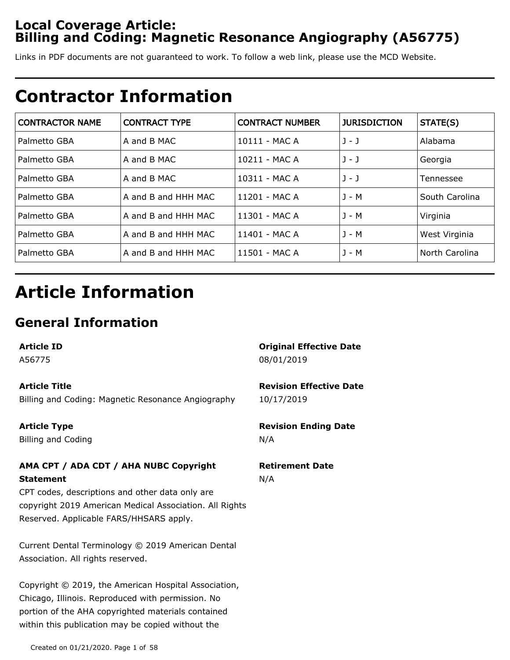## **Local Coverage Article: Billing and Coding: Magnetic Resonance Angiography (A56775)**

Links in PDF documents are not guaranteed to work. To follow a web link, please use the MCD Website.

# **Contractor Information**

| <b>CONTRACTOR NAME</b> | <b>CONTRACT TYPE</b> | <b>CONTRACT NUMBER</b> | <b>JURISDICTION</b> | STATE(S)       |
|------------------------|----------------------|------------------------|---------------------|----------------|
| Palmetto GBA           | A and B MAC          | 10111 - MAC A          | $J - J$             | Alabama        |
| Palmetto GBA           | A and B MAC          | 10211 - MAC A          | $J - J$             | Georgia        |
| Palmetto GBA           | A and B MAC          | 10311 - MAC A          | $J - J$             | Tennessee      |
| Palmetto GBA           | A and B and HHH MAC  | 11201 - MAC A          | J - M               | South Carolina |
| Palmetto GBA           | A and B and HHH MAC  | 11301 - MAC A          | J - M               | Virginia       |
| Palmetto GBA           | A and B and HHH MAC  | 11401 - MAC A          | J - M               | West Virginia  |
| Palmetto GBA           | A and B and HHH MAC  | 11501 - MAC A          | $J - M$             | North Carolina |

# **Article Information**

## **General Information**

**Article ID**

A56775

#### **Article Title**

Billing and Coding: Magnetic Resonance Angiography

**Article Type**

Billing and Coding

### **AMA CPT / ADA CDT / AHA NUBC Copyright Statement**

CPT codes, descriptions and other data only are copyright 2019 American Medical Association. All Rights Reserved. Applicable FARS/HHSARS apply.

Current Dental Terminology © 2019 American Dental Association. All rights reserved.

Copyright © 2019, the American Hospital Association, Chicago, Illinois. Reproduced with permission. No portion of the AHA copyrighted materials contained within this publication may be copied without the

### **Original Effective Date** 08/01/2019

**Revision Effective Date** 10/17/2019

**Revision Ending Date** N/A

#### **Retirement Date** N/A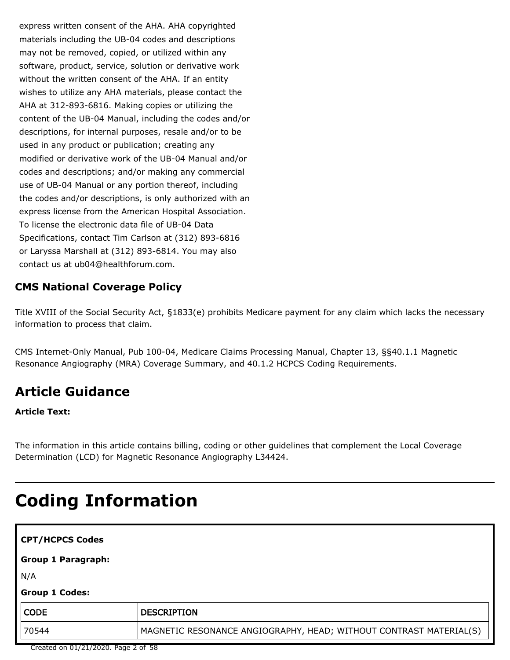express written consent of the AHA. AHA copyrighted materials including the UB-04 codes and descriptions may not be removed, copied, or utilized within any software, product, service, solution or derivative work without the written consent of the AHA. If an entity wishes to utilize any AHA materials, please contact the AHA at 312-893-6816. Making copies or utilizing the content of the UB-04 Manual, including the codes and/or descriptions, for internal purposes, resale and/or to be used in any product or publication; creating any modified or derivative work of the UB-04 Manual and/or codes and descriptions; and/or making any commercial use of UB-04 Manual or any portion thereof, including the codes and/or descriptions, is only authorized with an express license from the American Hospital Association. To license the electronic data file of UB-04 Data Specifications, contact Tim Carlson at (312) 893-6816 or Laryssa Marshall at (312) 893-6814. You may also contact us at ub04@healthforum.com.

## **CMS National Coverage Policy**

Title XVIII of the Social Security Act, §1833(e) prohibits Medicare payment for any claim which lacks the necessary information to process that claim.

CMS Internet-Only Manual, Pub 100-04, Medicare Claims Processing Manual, Chapter 13, §§40.1.1 Magnetic Resonance Angiography (MRA) Coverage Summary, and 40.1.2 HCPCS Coding Requirements.

## **Article Guidance**

**Article Text:**

The information in this article contains billing, coding or other guidelines that complement the Local Coverage Determination (LCD) for Magnetic Resonance Angiography L34424.

# **Coding Information**

| <b>CPT/HCPCS Codes</b>    |                                                                    |
|---------------------------|--------------------------------------------------------------------|
| <b>Group 1 Paragraph:</b> |                                                                    |
| N/A                       |                                                                    |
| <b>Group 1 Codes:</b>     |                                                                    |
| <b>CODE</b>               | <b>DESCRIPTION</b>                                                 |
| 70544                     | MAGNETIC RESONANCE ANGIOGRAPHY, HEAD; WITHOUT CONTRAST MATERIAL(S) |

Created on 01/21/2020. Page 2 of 58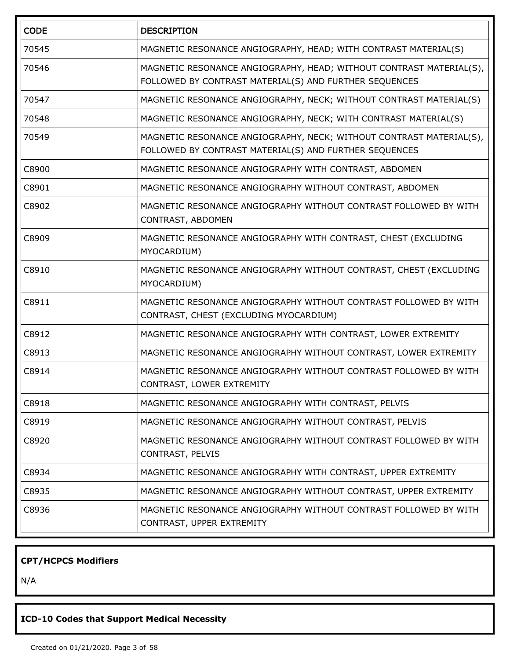| <b>CODE</b> | <b>DESCRIPTION</b>                                                                                                            |
|-------------|-------------------------------------------------------------------------------------------------------------------------------|
| 70545       | MAGNETIC RESONANCE ANGIOGRAPHY, HEAD; WITH CONTRAST MATERIAL(S)                                                               |
| 70546       | MAGNETIC RESONANCE ANGIOGRAPHY, HEAD; WITHOUT CONTRAST MATERIAL(S),<br>FOLLOWED BY CONTRAST MATERIAL(S) AND FURTHER SEQUENCES |
| 70547       | MAGNETIC RESONANCE ANGIOGRAPHY, NECK; WITHOUT CONTRAST MATERIAL(S)                                                            |
| 70548       | MAGNETIC RESONANCE ANGIOGRAPHY, NECK; WITH CONTRAST MATERIAL(S)                                                               |
| 70549       | MAGNETIC RESONANCE ANGIOGRAPHY, NECK; WITHOUT CONTRAST MATERIAL(S),<br>FOLLOWED BY CONTRAST MATERIAL(S) AND FURTHER SEQUENCES |
| C8900       | MAGNETIC RESONANCE ANGIOGRAPHY WITH CONTRAST, ABDOMEN                                                                         |
| C8901       | MAGNETIC RESONANCE ANGIOGRAPHY WITHOUT CONTRAST, ABDOMEN                                                                      |
| C8902       | MAGNETIC RESONANCE ANGIOGRAPHY WITHOUT CONTRAST FOLLOWED BY WITH<br>CONTRAST, ABDOMEN                                         |
| C8909       | MAGNETIC RESONANCE ANGIOGRAPHY WITH CONTRAST, CHEST (EXCLUDING<br>MYOCARDIUM)                                                 |
| C8910       | MAGNETIC RESONANCE ANGIOGRAPHY WITHOUT CONTRAST, CHEST (EXCLUDING<br>MYOCARDIUM)                                              |
| C8911       | MAGNETIC RESONANCE ANGIOGRAPHY WITHOUT CONTRAST FOLLOWED BY WITH<br>CONTRAST, CHEST (EXCLUDING MYOCARDIUM)                    |
| C8912       | MAGNETIC RESONANCE ANGIOGRAPHY WITH CONTRAST, LOWER EXTREMITY                                                                 |
| C8913       | MAGNETIC RESONANCE ANGIOGRAPHY WITHOUT CONTRAST, LOWER EXTREMITY                                                              |
| C8914       | MAGNETIC RESONANCE ANGIOGRAPHY WITHOUT CONTRAST FOLLOWED BY WITH<br>CONTRAST, LOWER EXTREMITY                                 |
| C8918       | MAGNETIC RESONANCE ANGIOGRAPHY WITH CONTRAST, PELVIS                                                                          |
| C8919       | MAGNETIC RESONANCE ANGIOGRAPHY WITHOUT CONTRAST, PELVIS                                                                       |
| C8920       | MAGNETIC RESONANCE ANGIOGRAPHY WITHOUT CONTRAST FOLLOWED BY WITH<br>CONTRAST, PELVIS                                          |
| C8934       | MAGNETIC RESONANCE ANGIOGRAPHY WITH CONTRAST, UPPER EXTREMITY                                                                 |
| C8935       | MAGNETIC RESONANCE ANGIOGRAPHY WITHOUT CONTRAST, UPPER EXTREMITY                                                              |
| C8936       | MAGNETIC RESONANCE ANGIOGRAPHY WITHOUT CONTRAST FOLLOWED BY WITH<br>CONTRAST, UPPER EXTREMITY                                 |

## **CPT/HCPCS Modifiers**

N/A

## **ICD-10 Codes that Support Medical Necessity**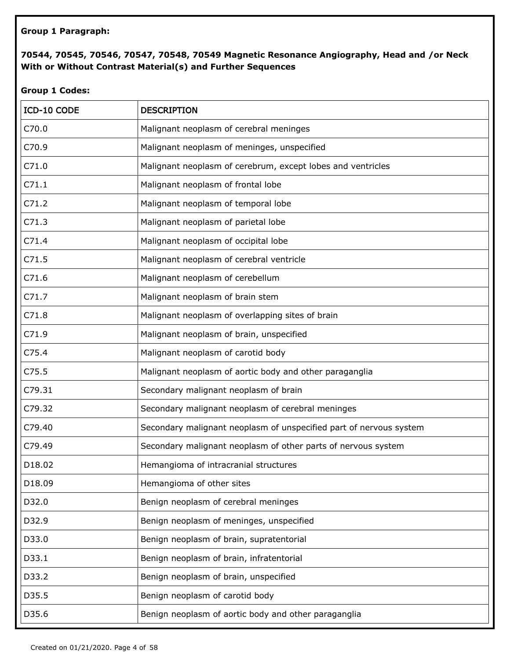#### **Group 1 Paragraph:**

#### **70544, 70545, 70546, 70547, 70548, 70549 Magnetic Resonance Angiography, Head and /or Neck With or Without Contrast Material(s) and Further Sequences**

#### **Group 1 Codes:**

| ICD-10 CODE       | <b>DESCRIPTION</b>                                                 |
|-------------------|--------------------------------------------------------------------|
| C70.0             | Malignant neoplasm of cerebral meninges                            |
| C70.9             | Malignant neoplasm of meninges, unspecified                        |
| C71.0             | Malignant neoplasm of cerebrum, except lobes and ventricles        |
| C71.1             | Malignant neoplasm of frontal lobe                                 |
| C71.2             | Malignant neoplasm of temporal lobe                                |
| C71.3             | Malignant neoplasm of parietal lobe                                |
| C71.4             | Malignant neoplasm of occipital lobe                               |
| C71.5             | Malignant neoplasm of cerebral ventricle                           |
| C71.6             | Malignant neoplasm of cerebellum                                   |
| C71.7             | Malignant neoplasm of brain stem                                   |
| C71.8             | Malignant neoplasm of overlapping sites of brain                   |
| C71.9             | Malignant neoplasm of brain, unspecified                           |
| C <sub>75.4</sub> | Malignant neoplasm of carotid body                                 |
| C <sub>75.5</sub> | Malignant neoplasm of aortic body and other paraganglia            |
| C79.31            | Secondary malignant neoplasm of brain                              |
| C79.32            | Secondary malignant neoplasm of cerebral meninges                  |
| C79.40            | Secondary malignant neoplasm of unspecified part of nervous system |
| C79.49            | Secondary malignant neoplasm of other parts of nervous system      |
| D18.02            | Hemangioma of intracranial structures                              |
| D18.09            | Hemangioma of other sites                                          |
| D32.0             | Benign neoplasm of cerebral meninges                               |
| D32.9             | Benign neoplasm of meninges, unspecified                           |
| D33.0             | Benign neoplasm of brain, supratentorial                           |
| D33.1             | Benign neoplasm of brain, infratentorial                           |
| D33.2             | Benign neoplasm of brain, unspecified                              |
| D35.5             | Benign neoplasm of carotid body                                    |
| D35.6             | Benign neoplasm of aortic body and other paraganglia               |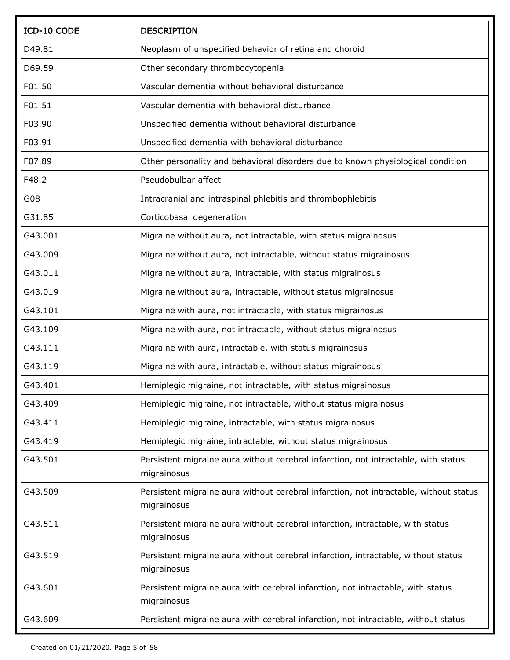| ICD-10 CODE | <b>DESCRIPTION</b>                                                                                   |
|-------------|------------------------------------------------------------------------------------------------------|
| D49.81      | Neoplasm of unspecified behavior of retina and choroid                                               |
| D69.59      | Other secondary thrombocytopenia                                                                     |
| F01.50      | Vascular dementia without behavioral disturbance                                                     |
| F01.51      | Vascular dementia with behavioral disturbance                                                        |
| F03.90      | Unspecified dementia without behavioral disturbance                                                  |
| F03.91      | Unspecified dementia with behavioral disturbance                                                     |
| F07.89      | Other personality and behavioral disorders due to known physiological condition                      |
| F48.2       | Pseudobulbar affect                                                                                  |
| G08         | Intracranial and intraspinal phlebitis and thrombophlebitis                                          |
| G31.85      | Corticobasal degeneration                                                                            |
| G43.001     | Migraine without aura, not intractable, with status migrainosus                                      |
| G43.009     | Migraine without aura, not intractable, without status migrainosus                                   |
| G43.011     | Migraine without aura, intractable, with status migrainosus                                          |
| G43.019     | Migraine without aura, intractable, without status migrainosus                                       |
| G43.101     | Migraine with aura, not intractable, with status migrainosus                                         |
| G43.109     | Migraine with aura, not intractable, without status migrainosus                                      |
| G43.111     | Migraine with aura, intractable, with status migrainosus                                             |
| G43.119     | Migraine with aura, intractable, without status migrainosus                                          |
| G43.401     | Hemiplegic migraine, not intractable, with status migrainosus                                        |
| G43.409     | Hemiplegic migraine, not intractable, without status migrainosus                                     |
| G43.411     | Hemiplegic migraine, intractable, with status migrainosus                                            |
| G43.419     | Hemiplegic migraine, intractable, without status migrainosus                                         |
| G43.501     | Persistent migraine aura without cerebral infarction, not intractable, with status<br>migrainosus    |
| G43.509     | Persistent migraine aura without cerebral infarction, not intractable, without status<br>migrainosus |
| G43.511     | Persistent migraine aura without cerebral infarction, intractable, with status<br>migrainosus        |
| G43.519     | Persistent migraine aura without cerebral infarction, intractable, without status<br>migrainosus     |
| G43.601     | Persistent migraine aura with cerebral infarction, not intractable, with status<br>migrainosus       |
| G43.609     | Persistent migraine aura with cerebral infarction, not intractable, without status                   |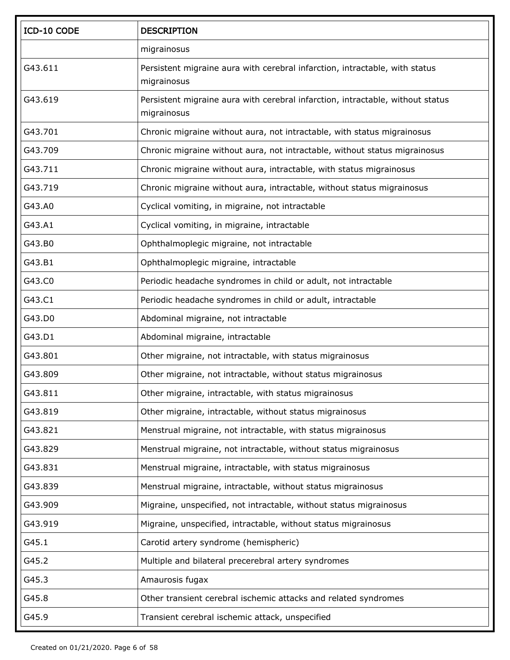| ICD-10 CODE | <b>DESCRIPTION</b>                                                                            |
|-------------|-----------------------------------------------------------------------------------------------|
|             | migrainosus                                                                                   |
| G43.611     | Persistent migraine aura with cerebral infarction, intractable, with status<br>migrainosus    |
| G43.619     | Persistent migraine aura with cerebral infarction, intractable, without status<br>migrainosus |
| G43.701     | Chronic migraine without aura, not intractable, with status migrainosus                       |
| G43.709     | Chronic migraine without aura, not intractable, without status migrainosus                    |
| G43.711     | Chronic migraine without aura, intractable, with status migrainosus                           |
| G43.719     | Chronic migraine without aura, intractable, without status migrainosus                        |
| G43.A0      | Cyclical vomiting, in migraine, not intractable                                               |
| G43.A1      | Cyclical vomiting, in migraine, intractable                                                   |
| G43.B0      | Ophthalmoplegic migraine, not intractable                                                     |
| G43.B1      | Ophthalmoplegic migraine, intractable                                                         |
| G43.C0      | Periodic headache syndromes in child or adult, not intractable                                |
| G43.C1      | Periodic headache syndromes in child or adult, intractable                                    |
| G43.D0      | Abdominal migraine, not intractable                                                           |
| G43.D1      | Abdominal migraine, intractable                                                               |
| G43.801     | Other migraine, not intractable, with status migrainosus                                      |
| G43.809     | Other migraine, not intractable, without status migrainosus                                   |
| G43.811     | Other migraine, intractable, with status migrainosus                                          |
| G43.819     | Other migraine, intractable, without status migrainosus                                       |
| G43.821     | Menstrual migraine, not intractable, with status migrainosus                                  |
| G43.829     | Menstrual migraine, not intractable, without status migrainosus                               |
| G43.831     | Menstrual migraine, intractable, with status migrainosus                                      |
| G43.839     | Menstrual migraine, intractable, without status migrainosus                                   |
| G43.909     | Migraine, unspecified, not intractable, without status migrainosus                            |
| G43.919     | Migraine, unspecified, intractable, without status migrainosus                                |
| G45.1       | Carotid artery syndrome (hemispheric)                                                         |
| G45.2       | Multiple and bilateral precerebral artery syndromes                                           |
| G45.3       | Amaurosis fugax                                                                               |
| G45.8       | Other transient cerebral ischemic attacks and related syndromes                               |
| G45.9       | Transient cerebral ischemic attack, unspecified                                               |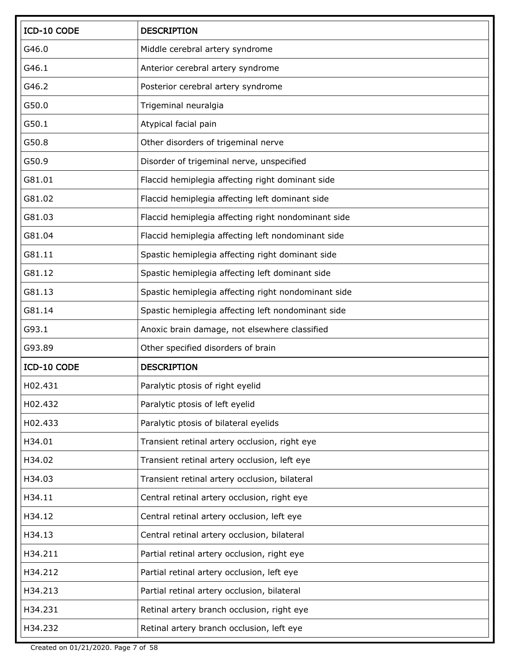| ICD-10 CODE | <b>DESCRIPTION</b>                                  |
|-------------|-----------------------------------------------------|
| G46.0       | Middle cerebral artery syndrome                     |
| G46.1       | Anterior cerebral artery syndrome                   |
| G46.2       | Posterior cerebral artery syndrome                  |
| G50.0       | Trigeminal neuralgia                                |
| G50.1       | Atypical facial pain                                |
| G50.8       | Other disorders of trigeminal nerve                 |
| G50.9       | Disorder of trigeminal nerve, unspecified           |
| G81.01      | Flaccid hemiplegia affecting right dominant side    |
| G81.02      | Flaccid hemiplegia affecting left dominant side     |
| G81.03      | Flaccid hemiplegia affecting right nondominant side |
| G81.04      | Flaccid hemiplegia affecting left nondominant side  |
| G81.11      | Spastic hemiplegia affecting right dominant side    |
| G81.12      | Spastic hemiplegia affecting left dominant side     |
| G81.13      | Spastic hemiplegia affecting right nondominant side |
| G81.14      | Spastic hemiplegia affecting left nondominant side  |
| G93.1       | Anoxic brain damage, not elsewhere classified       |
| G93.89      | Other specified disorders of brain                  |
| ICD-10 CODE | <b>DESCRIPTION</b>                                  |
| H02.431     | Paralytic ptosis of right eyelid                    |
| H02.432     | Paralytic ptosis of left eyelid                     |
| H02.433     | Paralytic ptosis of bilateral eyelids               |
| H34.01      | Transient retinal artery occlusion, right eye       |
| H34.02      | Transient retinal artery occlusion, left eye        |
| H34.03      | Transient retinal artery occlusion, bilateral       |
| H34.11      | Central retinal artery occlusion, right eye         |
| H34.12      | Central retinal artery occlusion, left eye          |
| H34.13      | Central retinal artery occlusion, bilateral         |
| H34.211     | Partial retinal artery occlusion, right eye         |
| H34.212     | Partial retinal artery occlusion, left eye          |
| H34.213     | Partial retinal artery occlusion, bilateral         |
| H34.231     | Retinal artery branch occlusion, right eye          |
| H34.232     | Retinal artery branch occlusion, left eye           |

Created on 01/21/2020. Page 7 of 58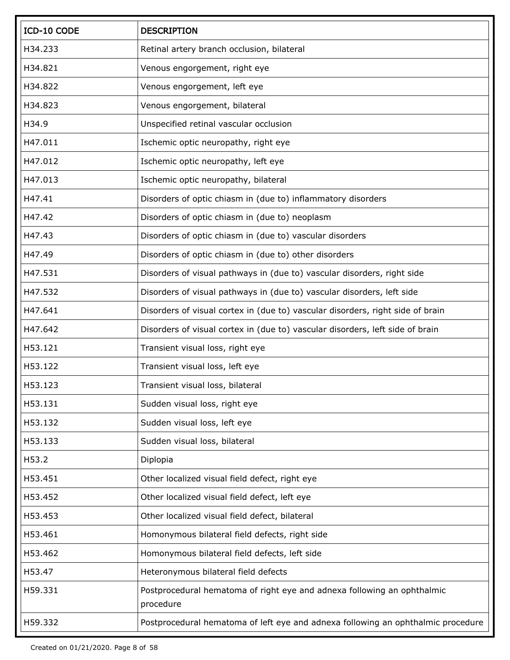| ICD-10 CODE | <b>DESCRIPTION</b>                                                                   |
|-------------|--------------------------------------------------------------------------------------|
| H34.233     | Retinal artery branch occlusion, bilateral                                           |
| H34.821     | Venous engorgement, right eye                                                        |
| H34.822     | Venous engorgement, left eye                                                         |
| H34.823     | Venous engorgement, bilateral                                                        |
| H34.9       | Unspecified retinal vascular occlusion                                               |
| H47.011     | Ischemic optic neuropathy, right eye                                                 |
| H47.012     | Ischemic optic neuropathy, left eye                                                  |
| H47.013     | Ischemic optic neuropathy, bilateral                                                 |
| H47.41      | Disorders of optic chiasm in (due to) inflammatory disorders                         |
| H47.42      | Disorders of optic chiasm in (due to) neoplasm                                       |
| H47.43      | Disorders of optic chiasm in (due to) vascular disorders                             |
| H47.49      | Disorders of optic chiasm in (due to) other disorders                                |
| H47.531     | Disorders of visual pathways in (due to) vascular disorders, right side              |
| H47.532     | Disorders of visual pathways in (due to) vascular disorders, left side               |
| H47.641     | Disorders of visual cortex in (due to) vascular disorders, right side of brain       |
| H47.642     | Disorders of visual cortex in (due to) vascular disorders, left side of brain        |
| H53.121     | Transient visual loss, right eye                                                     |
| H53.122     | Transient visual loss, left eye                                                      |
| H53.123     | Transient visual loss, bilateral                                                     |
| H53.131     | Sudden visual loss, right eye                                                        |
| H53.132     | Sudden visual loss, left eye                                                         |
| H53.133     | Sudden visual loss, bilateral                                                        |
| H53.2       | Diplopia                                                                             |
| H53.451     | Other localized visual field defect, right eye                                       |
| H53.452     | Other localized visual field defect, left eye                                        |
| H53.453     | Other localized visual field defect, bilateral                                       |
| H53.461     | Homonymous bilateral field defects, right side                                       |
| H53.462     | Homonymous bilateral field defects, left side                                        |
| H53.47      | Heteronymous bilateral field defects                                                 |
| H59.331     | Postprocedural hematoma of right eye and adnexa following an ophthalmic<br>procedure |
| H59.332     | Postprocedural hematoma of left eye and adnexa following an ophthalmic procedure     |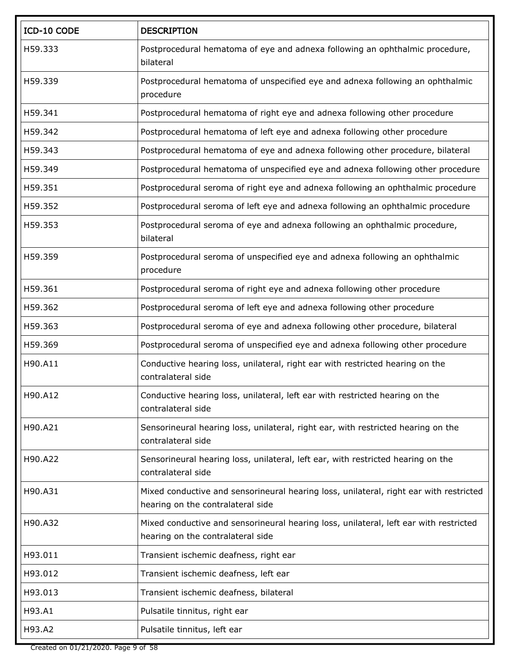| ICD-10 CODE | <b>DESCRIPTION</b>                                                                                                          |
|-------------|-----------------------------------------------------------------------------------------------------------------------------|
| H59.333     | Postprocedural hematoma of eye and adnexa following an ophthalmic procedure,<br>bilateral                                   |
| H59.339     | Postprocedural hematoma of unspecified eye and adnexa following an ophthalmic<br>procedure                                  |
| H59.341     | Postprocedural hematoma of right eye and adnexa following other procedure                                                   |
| H59.342     | Postprocedural hematoma of left eye and adnexa following other procedure                                                    |
| H59.343     | Postprocedural hematoma of eye and adnexa following other procedure, bilateral                                              |
| H59.349     | Postprocedural hematoma of unspecified eye and adnexa following other procedure                                             |
| H59.351     | Postprocedural seroma of right eye and adnexa following an ophthalmic procedure                                             |
| H59.352     | Postprocedural seroma of left eye and adnexa following an ophthalmic procedure                                              |
| H59.353     | Postprocedural seroma of eye and adnexa following an ophthalmic procedure,<br>bilateral                                     |
| H59.359     | Postprocedural seroma of unspecified eye and adnexa following an ophthalmic<br>procedure                                    |
| H59.361     | Postprocedural seroma of right eye and adnexa following other procedure                                                     |
| H59.362     | Postprocedural seroma of left eye and adnexa following other procedure                                                      |
| H59.363     | Postprocedural seroma of eye and adnexa following other procedure, bilateral                                                |
| H59.369     | Postprocedural seroma of unspecified eye and adnexa following other procedure                                               |
| H90.A11     | Conductive hearing loss, unilateral, right ear with restricted hearing on the<br>contralateral side                         |
| H90.A12     | Conductive hearing loss, unilateral, left ear with restricted hearing on the<br>contralateral side                          |
| H90.A21     | Sensorineural hearing loss, unilateral, right ear, with restricted hearing on the<br>contralateral side                     |
| H90.A22     | Sensorineural hearing loss, unilateral, left ear, with restricted hearing on the<br>contralateral side                      |
| H90.A31     | Mixed conductive and sensorineural hearing loss, unilateral, right ear with restricted<br>hearing on the contralateral side |
| H90.A32     | Mixed conductive and sensorineural hearing loss, unilateral, left ear with restricted<br>hearing on the contralateral side  |
| H93.011     | Transient ischemic deafness, right ear                                                                                      |
| H93.012     | Transient ischemic deafness, left ear                                                                                       |
| H93.013     | Transient ischemic deafness, bilateral                                                                                      |
| H93.A1      | Pulsatile tinnitus, right ear                                                                                               |
| H93.A2      | Pulsatile tinnitus, left ear                                                                                                |

Created on 01/21/2020. Page 9 of 58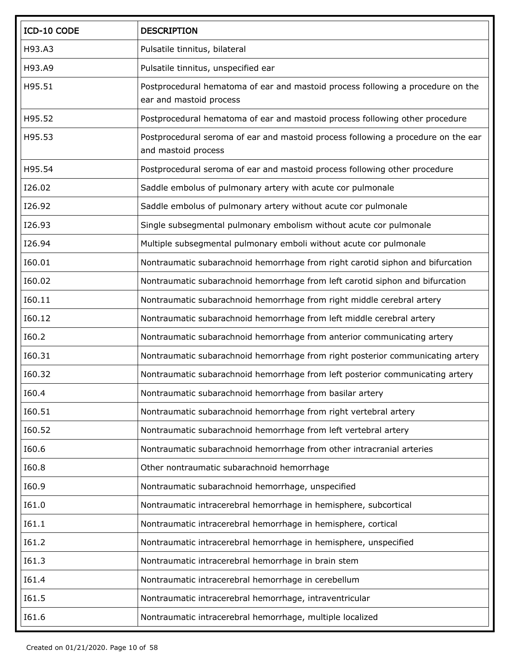| ICD-10 CODE | <b>DESCRIPTION</b>                                                                                         |
|-------------|------------------------------------------------------------------------------------------------------------|
| H93.A3      | Pulsatile tinnitus, bilateral                                                                              |
| H93.A9      | Pulsatile tinnitus, unspecified ear                                                                        |
| H95.51      | Postprocedural hematoma of ear and mastoid process following a procedure on the<br>ear and mastoid process |
| H95.52      | Postprocedural hematoma of ear and mastoid process following other procedure                               |
| H95.53      | Postprocedural seroma of ear and mastoid process following a procedure on the ear<br>and mastoid process   |
| H95.54      | Postprocedural seroma of ear and mastoid process following other procedure                                 |
| I26.02      | Saddle embolus of pulmonary artery with acute cor pulmonale                                                |
| I26.92      | Saddle embolus of pulmonary artery without acute cor pulmonale                                             |
| I26.93      | Single subsegmental pulmonary embolism without acute cor pulmonale                                         |
| I26.94      | Multiple subsegmental pulmonary emboli without acute cor pulmonale                                         |
| I60.01      | Nontraumatic subarachnoid hemorrhage from right carotid siphon and bifurcation                             |
| I60.02      | Nontraumatic subarachnoid hemorrhage from left carotid siphon and bifurcation                              |
| I60.11      | Nontraumatic subarachnoid hemorrhage from right middle cerebral artery                                     |
| I60.12      | Nontraumatic subarachnoid hemorrhage from left middle cerebral artery                                      |
| I60.2       | Nontraumatic subarachnoid hemorrhage from anterior communicating artery                                    |
| I60.31      | Nontraumatic subarachnoid hemorrhage from right posterior communicating artery                             |
| I60.32      | Nontraumatic subarachnoid hemorrhage from left posterior communicating artery                              |
| I60.4       | Nontraumatic subarachnoid hemorrhage from basilar artery                                                   |
| I60.51      | Nontraumatic subarachnoid hemorrhage from right vertebral artery                                           |
| I60.52      | Nontraumatic subarachnoid hemorrhage from left vertebral artery                                            |
| I60.6       | Nontraumatic subarachnoid hemorrhage from other intracranial arteries                                      |
| I60.8       | Other nontraumatic subarachnoid hemorrhage                                                                 |
| I60.9       | Nontraumatic subarachnoid hemorrhage, unspecified                                                          |
| I61.0       | Nontraumatic intracerebral hemorrhage in hemisphere, subcortical                                           |
| I61.1       | Nontraumatic intracerebral hemorrhage in hemisphere, cortical                                              |
| I61.2       | Nontraumatic intracerebral hemorrhage in hemisphere, unspecified                                           |
| I61.3       | Nontraumatic intracerebral hemorrhage in brain stem                                                        |
| 161.4       | Nontraumatic intracerebral hemorrhage in cerebellum                                                        |
| I61.5       | Nontraumatic intracerebral hemorrhage, intraventricular                                                    |
| I61.6       | Nontraumatic intracerebral hemorrhage, multiple localized                                                  |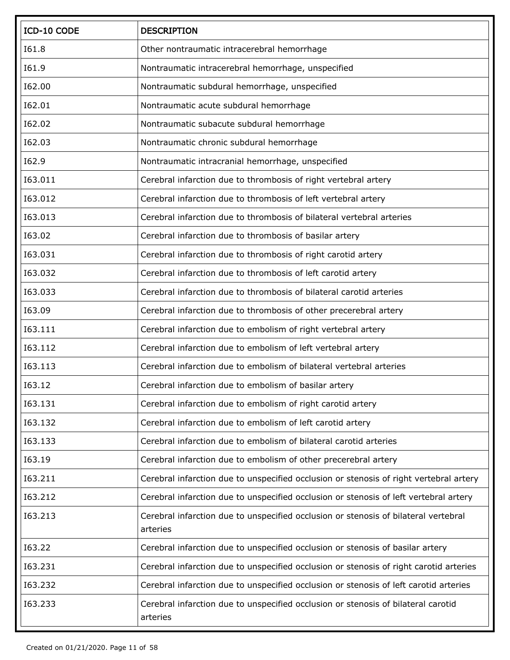| ICD-10 CODE    | <b>DESCRIPTION</b>                                                                              |
|----------------|-------------------------------------------------------------------------------------------------|
| <b>I61.8</b>   | Other nontraumatic intracerebral hemorrhage                                                     |
| I61.9          | Nontraumatic intracerebral hemorrhage, unspecified                                              |
| I62.00         | Nontraumatic subdural hemorrhage, unspecified                                                   |
| I62.01         | Nontraumatic acute subdural hemorrhage                                                          |
| 162.02         | Nontraumatic subacute subdural hemorrhage                                                       |
| I62.03         | Nontraumatic chronic subdural hemorrhage                                                        |
| I62.9          | Nontraumatic intracranial hemorrhage, unspecified                                               |
| 163.011        | Cerebral infarction due to thrombosis of right vertebral artery                                 |
| 163.012        | Cerebral infarction due to thrombosis of left vertebral artery                                  |
| 163.013        | Cerebral infarction due to thrombosis of bilateral vertebral arteries                           |
| 163.02         | Cerebral infarction due to thrombosis of basilar artery                                         |
| 163.031        | Cerebral infarction due to thrombosis of right carotid artery                                   |
| 163.032        | Cerebral infarction due to thrombosis of left carotid artery                                    |
| 163.033        | Cerebral infarction due to thrombosis of bilateral carotid arteries                             |
| I63.09         | Cerebral infarction due to thrombosis of other precerebral artery                               |
| 163.111        | Cerebral infarction due to embolism of right vertebral artery                                   |
| <b>I63.112</b> | Cerebral infarction due to embolism of left vertebral artery                                    |
| 163.113        | Cerebral infarction due to embolism of bilateral vertebral arteries                             |
| I63.12         | Cerebral infarction due to embolism of basilar artery                                           |
| 163.131        | Cerebral infarction due to embolism of right carotid artery                                     |
| 163.132        | Cerebral infarction due to embolism of left carotid artery                                      |
| 163.133        | Cerebral infarction due to embolism of bilateral carotid arteries                               |
| 163.19         | Cerebral infarction due to embolism of other precerebral artery                                 |
| 163.211        | Cerebral infarction due to unspecified occlusion or stenosis of right vertebral artery          |
| 163.212        | Cerebral infarction due to unspecified occlusion or stenosis of left vertebral artery           |
| 163.213        | Cerebral infarction due to unspecified occlusion or stenosis of bilateral vertebral<br>arteries |
| 163.22         | Cerebral infarction due to unspecified occlusion or stenosis of basilar artery                  |
| 163.231        | Cerebral infarction due to unspecified occlusion or stenosis of right carotid arteries          |
| 163.232        | Cerebral infarction due to unspecified occlusion or stenosis of left carotid arteries           |
| 163.233        | Cerebral infarction due to unspecified occlusion or stenosis of bilateral carotid<br>arteries   |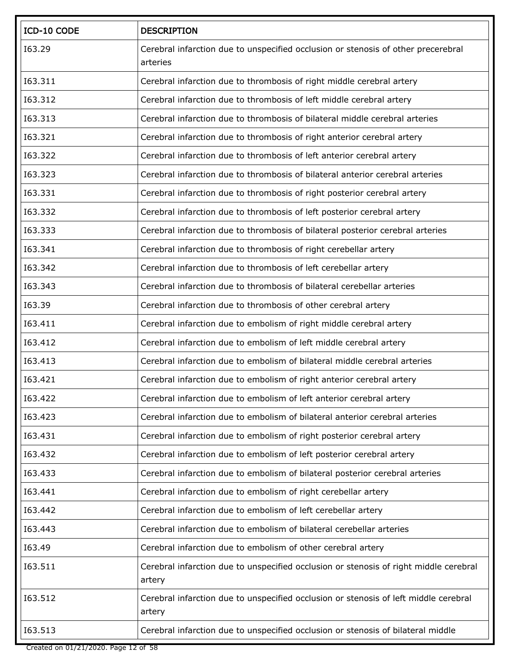| ICD-10 CODE | <b>DESCRIPTION</b>                                                                              |
|-------------|-------------------------------------------------------------------------------------------------|
| I63.29      | Cerebral infarction due to unspecified occlusion or stenosis of other precerebral<br>arteries   |
| 163.311     | Cerebral infarction due to thrombosis of right middle cerebral artery                           |
| 163.312     | Cerebral infarction due to thrombosis of left middle cerebral artery                            |
| 163.313     | Cerebral infarction due to thrombosis of bilateral middle cerebral arteries                     |
| 163.321     | Cerebral infarction due to thrombosis of right anterior cerebral artery                         |
| 163.322     | Cerebral infarction due to thrombosis of left anterior cerebral artery                          |
| 163.323     | Cerebral infarction due to thrombosis of bilateral anterior cerebral arteries                   |
| 163.331     | Cerebral infarction due to thrombosis of right posterior cerebral artery                        |
| 163.332     | Cerebral infarction due to thrombosis of left posterior cerebral artery                         |
| 163.333     | Cerebral infarction due to thrombosis of bilateral posterior cerebral arteries                  |
| 163.341     | Cerebral infarction due to thrombosis of right cerebellar artery                                |
| 163.342     | Cerebral infarction due to thrombosis of left cerebellar artery                                 |
| 163.343     | Cerebral infarction due to thrombosis of bilateral cerebellar arteries                          |
| 163.39      | Cerebral infarction due to thrombosis of other cerebral artery                                  |
| 163.411     | Cerebral infarction due to embolism of right middle cerebral artery                             |
| 163.412     | Cerebral infarction due to embolism of left middle cerebral artery                              |
| 163.413     | Cerebral infarction due to embolism of bilateral middle cerebral arteries                       |
| 163.421     | Cerebral infarction due to embolism of right anterior cerebral artery                           |
| 163.422     | Cerebral infarction due to embolism of left anterior cerebral artery                            |
| 163.423     | Cerebral infarction due to embolism of bilateral anterior cerebral arteries                     |
| 163.431     | Cerebral infarction due to embolism of right posterior cerebral artery                          |
| 163.432     | Cerebral infarction due to embolism of left posterior cerebral artery                           |
| 163.433     | Cerebral infarction due to embolism of bilateral posterior cerebral arteries                    |
| 163.441     | Cerebral infarction due to embolism of right cerebellar artery                                  |
| 163.442     | Cerebral infarction due to embolism of left cerebellar artery                                   |
| 163.443     | Cerebral infarction due to embolism of bilateral cerebellar arteries                            |
| I63.49      | Cerebral infarction due to embolism of other cerebral artery                                    |
| 163.511     | Cerebral infarction due to unspecified occlusion or stenosis of right middle cerebral<br>artery |
| 163.512     | Cerebral infarction due to unspecified occlusion or stenosis of left middle cerebral<br>artery  |
| 163.513     | Cerebral infarction due to unspecified occlusion or stenosis of bilateral middle                |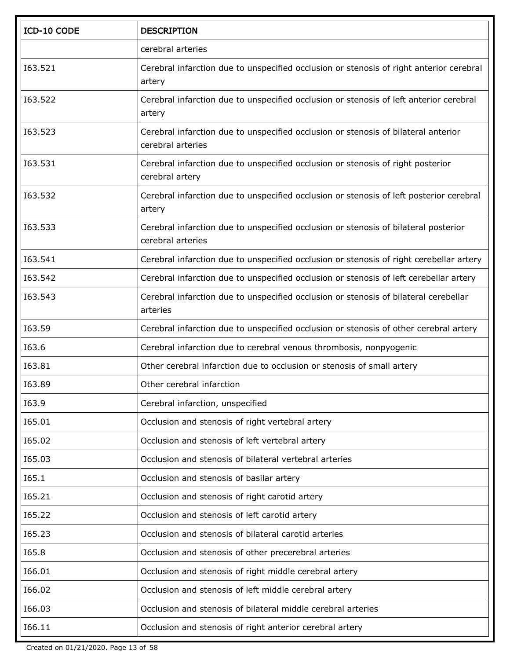| ICD-10 CODE | <b>DESCRIPTION</b>                                                                                       |
|-------------|----------------------------------------------------------------------------------------------------------|
|             | cerebral arteries                                                                                        |
| 163.521     | Cerebral infarction due to unspecified occlusion or stenosis of right anterior cerebral<br>artery        |
| 163.522     | Cerebral infarction due to unspecified occlusion or stenosis of left anterior cerebral<br>artery         |
| 163.523     | Cerebral infarction due to unspecified occlusion or stenosis of bilateral anterior<br>cerebral arteries  |
| 163.531     | Cerebral infarction due to unspecified occlusion or stenosis of right posterior<br>cerebral artery       |
| 163.532     | Cerebral infarction due to unspecified occlusion or stenosis of left posterior cerebral<br>artery        |
| 163.533     | Cerebral infarction due to unspecified occlusion or stenosis of bilateral posterior<br>cerebral arteries |
| 163.541     | Cerebral infarction due to unspecified occlusion or stenosis of right cerebellar artery                  |
| 163.542     | Cerebral infarction due to unspecified occlusion or stenosis of left cerebellar artery                   |
| 163.543     | Cerebral infarction due to unspecified occlusion or stenosis of bilateral cerebellar<br>arteries         |
| I63.59      | Cerebral infarction due to unspecified occlusion or stenosis of other cerebral artery                    |
| I63.6       | Cerebral infarction due to cerebral venous thrombosis, nonpyogenic                                       |
| I63.81      | Other cerebral infarction due to occlusion or stenosis of small artery                                   |
| I63.89      | Other cerebral infarction                                                                                |
| I63.9       | Cerebral infarction, unspecified                                                                         |
| I65.01      | Occlusion and stenosis of right vertebral artery                                                         |
| I65.02      | Occlusion and stenosis of left vertebral artery                                                          |
| I65.03      | Occlusion and stenosis of bilateral vertebral arteries                                                   |
| 165.1       | Occlusion and stenosis of basilar artery                                                                 |
| 165.21      | Occlusion and stenosis of right carotid artery                                                           |
| 165.22      | Occlusion and stenosis of left carotid artery                                                            |
| I65.23      | Occlusion and stenosis of bilateral carotid arteries                                                     |
| I65.8       | Occlusion and stenosis of other precerebral arteries                                                     |
| I66.01      | Occlusion and stenosis of right middle cerebral artery                                                   |
| I66.02      | Occlusion and stenosis of left middle cerebral artery                                                    |
| I66.03      | Occlusion and stenosis of bilateral middle cerebral arteries                                             |
| I66.11      | Occlusion and stenosis of right anterior cerebral artery                                                 |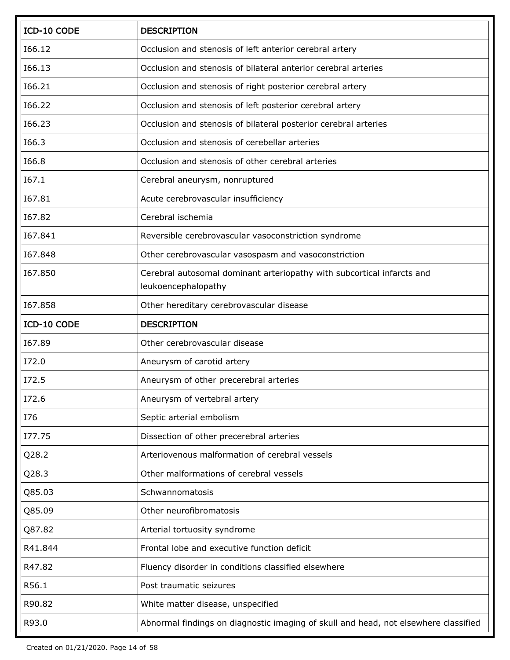| ICD-10 CODE | <b>DESCRIPTION</b>                                                                            |
|-------------|-----------------------------------------------------------------------------------------------|
| I66.12      | Occlusion and stenosis of left anterior cerebral artery                                       |
| I66.13      | Occlusion and stenosis of bilateral anterior cerebral arteries                                |
| I66.21      | Occlusion and stenosis of right posterior cerebral artery                                     |
| I66.22      | Occlusion and stenosis of left posterior cerebral artery                                      |
| I66.23      | Occlusion and stenosis of bilateral posterior cerebral arteries                               |
| I66.3       | Occlusion and stenosis of cerebellar arteries                                                 |
| I66.8       | Occlusion and stenosis of other cerebral arteries                                             |
| I67.1       | Cerebral aneurysm, nonruptured                                                                |
| I67.81      | Acute cerebrovascular insufficiency                                                           |
| I67.82      | Cerebral ischemia                                                                             |
| 167.841     | Reversible cerebrovascular vasoconstriction syndrome                                          |
| 167.848     | Other cerebrovascular vasospasm and vasoconstriction                                          |
| 167.850     | Cerebral autosomal dominant arteriopathy with subcortical infarcts and<br>leukoencephalopathy |
| 167.858     | Other hereditary cerebrovascular disease                                                      |
| ICD-10 CODE | <b>DESCRIPTION</b>                                                                            |
| I67.89      | Other cerebrovascular disease                                                                 |
| I72.0       | Aneurysm of carotid artery                                                                    |
| I72.5       | Aneurysm of other precerebral arteries                                                        |
| I72.6       | Aneurysm of vertebral artery                                                                  |
| I76         | Septic arterial embolism                                                                      |
| I77.75      | Dissection of other precerebral arteries                                                      |
| Q28.2       | Arteriovenous malformation of cerebral vessels                                                |
| Q28.3       | Other malformations of cerebral vessels                                                       |
| Q85.03      | Schwannomatosis                                                                               |
| Q85.09      | Other neurofibromatosis                                                                       |
| Q87.82      | Arterial tortuosity syndrome                                                                  |
| R41.844     | Frontal lobe and executive function deficit                                                   |
| R47.82      | Fluency disorder in conditions classified elsewhere                                           |
| R56.1       | Post traumatic seizures                                                                       |
| R90.82      | White matter disease, unspecified                                                             |
| R93.0       | Abnormal findings on diagnostic imaging of skull and head, not elsewhere classified           |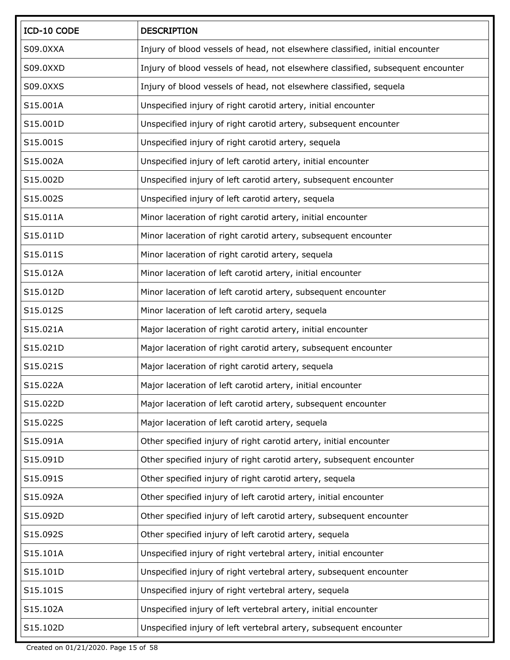| ICD-10 CODE | <b>DESCRIPTION</b>                                                              |
|-------------|---------------------------------------------------------------------------------|
| S09.0XXA    | Injury of blood vessels of head, not elsewhere classified, initial encounter    |
| S09.0XXD    | Injury of blood vessels of head, not elsewhere classified, subsequent encounter |
| S09.0XXS    | Injury of blood vessels of head, not elsewhere classified, sequela              |
| S15.001A    | Unspecified injury of right carotid artery, initial encounter                   |
| S15.001D    | Unspecified injury of right carotid artery, subsequent encounter                |
| S15.001S    | Unspecified injury of right carotid artery, sequela                             |
| S15.002A    | Unspecified injury of left carotid artery, initial encounter                    |
| S15.002D    | Unspecified injury of left carotid artery, subsequent encounter                 |
| S15.002S    | Unspecified injury of left carotid artery, sequela                              |
| S15.011A    | Minor laceration of right carotid artery, initial encounter                     |
| S15.011D    | Minor laceration of right carotid artery, subsequent encounter                  |
| S15.011S    | Minor laceration of right carotid artery, sequela                               |
| S15.012A    | Minor laceration of left carotid artery, initial encounter                      |
| S15.012D    | Minor laceration of left carotid artery, subsequent encounter                   |
| S15.012S    | Minor laceration of left carotid artery, sequela                                |
| S15.021A    | Major laceration of right carotid artery, initial encounter                     |
| S15.021D    | Major laceration of right carotid artery, subsequent encounter                  |
| S15.021S    | Major laceration of right carotid artery, sequela                               |
| S15.022A    | Major laceration of left carotid artery, initial encounter                      |
| S15.022D    | Major laceration of left carotid artery, subsequent encounter                   |
| S15.022S    | Major laceration of left carotid artery, sequela                                |
| S15.091A    | Other specified injury of right carotid artery, initial encounter               |
| S15.091D    | Other specified injury of right carotid artery, subsequent encounter            |
| S15.091S    | Other specified injury of right carotid artery, sequela                         |
| S15.092A    | Other specified injury of left carotid artery, initial encounter                |
| S15.092D    | Other specified injury of left carotid artery, subsequent encounter             |
| S15.092S    | Other specified injury of left carotid artery, sequela                          |
| S15.101A    | Unspecified injury of right vertebral artery, initial encounter                 |
| S15.101D    | Unspecified injury of right vertebral artery, subsequent encounter              |
| S15.101S    | Unspecified injury of right vertebral artery, sequela                           |
| S15.102A    | Unspecified injury of left vertebral artery, initial encounter                  |
| S15.102D    | Unspecified injury of left vertebral artery, subsequent encounter               |

Created on 01/21/2020. Page 15 of 58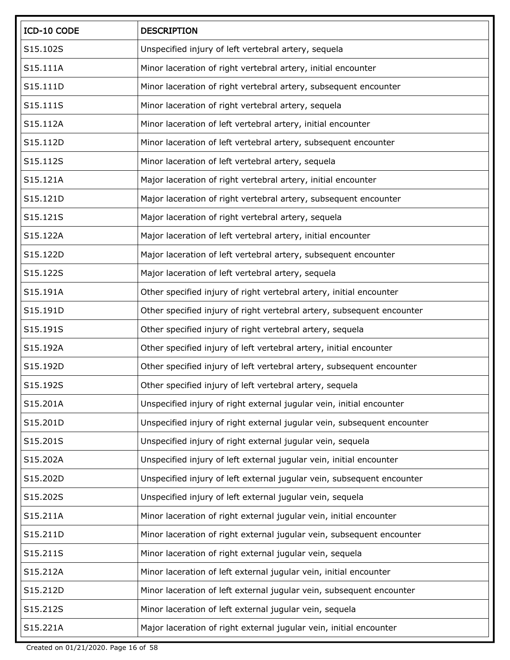| ICD-10 CODE | <b>DESCRIPTION</b>                                                      |
|-------------|-------------------------------------------------------------------------|
| S15.102S    | Unspecified injury of left vertebral artery, sequela                    |
| S15.111A    | Minor laceration of right vertebral artery, initial encounter           |
| S15.111D    | Minor laceration of right vertebral artery, subsequent encounter        |
| S15.111S    | Minor laceration of right vertebral artery, sequela                     |
| S15.112A    | Minor laceration of left vertebral artery, initial encounter            |
| S15.112D    | Minor laceration of left vertebral artery, subsequent encounter         |
| S15.112S    | Minor laceration of left vertebral artery, sequela                      |
| S15.121A    | Major laceration of right vertebral artery, initial encounter           |
| S15.121D    | Major laceration of right vertebral artery, subsequent encounter        |
| S15.121S    | Major laceration of right vertebral artery, sequela                     |
| S15.122A    | Major laceration of left vertebral artery, initial encounter            |
| S15.122D    | Major laceration of left vertebral artery, subsequent encounter         |
| S15.122S    | Major laceration of left vertebral artery, sequela                      |
| S15.191A    | Other specified injury of right vertebral artery, initial encounter     |
| S15.191D    | Other specified injury of right vertebral artery, subsequent encounter  |
| S15.191S    | Other specified injury of right vertebral artery, sequela               |
| S15.192A    | Other specified injury of left vertebral artery, initial encounter      |
| S15.192D    | Other specified injury of left vertebral artery, subsequent encounter   |
| S15.192S    | Other specified injury of left vertebral artery, sequela                |
| S15.201A    | Unspecified injury of right external jugular vein, initial encounter    |
| S15.201D    | Unspecified injury of right external jugular vein, subsequent encounter |
| S15.201S    | Unspecified injury of right external jugular vein, sequela              |
| S15.202A    | Unspecified injury of left external jugular vein, initial encounter     |
| S15.202D    | Unspecified injury of left external jugular vein, subsequent encounter  |
| S15.202S    | Unspecified injury of left external jugular vein, sequela               |
| S15.211A    | Minor laceration of right external jugular vein, initial encounter      |
| S15.211D    | Minor laceration of right external jugular vein, subsequent encounter   |
| S15.211S    | Minor laceration of right external jugular vein, sequela                |
| S15.212A    | Minor laceration of left external jugular vein, initial encounter       |
| S15.212D    | Minor laceration of left external jugular vein, subsequent encounter    |
| S15.212S    | Minor laceration of left external jugular vein, sequela                 |
| S15.221A    | Major laceration of right external jugular vein, initial encounter      |

Created on 01/21/2020. Page 16 of 58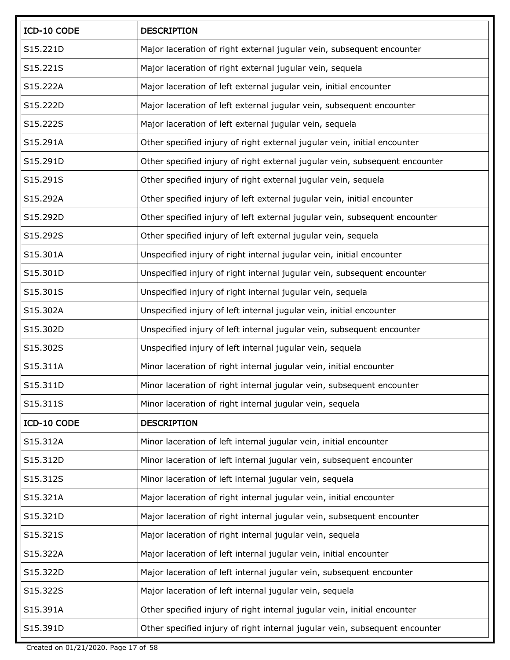| ICD-10 CODE | <b>DESCRIPTION</b>                                                          |
|-------------|-----------------------------------------------------------------------------|
| S15.221D    | Major laceration of right external jugular vein, subsequent encounter       |
| S15.221S    | Major laceration of right external jugular vein, sequela                    |
| S15.222A    | Major laceration of left external jugular vein, initial encounter           |
| S15.222D    | Major laceration of left external jugular vein, subsequent encounter        |
| S15.222S    | Major laceration of left external jugular vein, sequela                     |
| S15.291A    | Other specified injury of right external jugular vein, initial encounter    |
| S15.291D    | Other specified injury of right external jugular vein, subsequent encounter |
| S15.291S    | Other specified injury of right external jugular vein, sequela              |
| S15.292A    | Other specified injury of left external jugular vein, initial encounter     |
| S15.292D    | Other specified injury of left external jugular vein, subsequent encounter  |
| S15.292S    | Other specified injury of left external jugular vein, sequela               |
| S15.301A    | Unspecified injury of right internal jugular vein, initial encounter        |
| S15.301D    | Unspecified injury of right internal jugular vein, subsequent encounter     |
| S15.301S    | Unspecified injury of right internal jugular vein, sequela                  |
| S15.302A    | Unspecified injury of left internal jugular vein, initial encounter         |
| S15.302D    | Unspecified injury of left internal jugular vein, subsequent encounter      |
| S15.302S    | Unspecified injury of left internal jugular vein, sequela                   |
| S15.311A    | Minor laceration of right internal jugular vein, initial encounter          |
| S15.311D    | Minor laceration of right internal jugular vein, subsequent encounter       |
| S15.311S    | Minor laceration of right internal jugular vein, sequela                    |
| ICD-10 CODE | <b>DESCRIPTION</b>                                                          |
| S15.312A    | Minor laceration of left internal jugular vein, initial encounter           |
| S15.312D    | Minor laceration of left internal jugular vein, subsequent encounter        |
| S15.312S    | Minor laceration of left internal jugular vein, sequela                     |
| S15.321A    | Major laceration of right internal jugular vein, initial encounter          |
| S15.321D    | Major laceration of right internal jugular vein, subsequent encounter       |
| S15.321S    | Major laceration of right internal jugular vein, sequela                    |
| S15.322A    | Major laceration of left internal jugular vein, initial encounter           |
| S15.322D    | Major laceration of left internal jugular vein, subsequent encounter        |
| S15.322S    | Major laceration of left internal jugular vein, sequela                     |
| S15.391A    | Other specified injury of right internal jugular vein, initial encounter    |
| S15.391D    | Other specified injury of right internal jugular vein, subsequent encounter |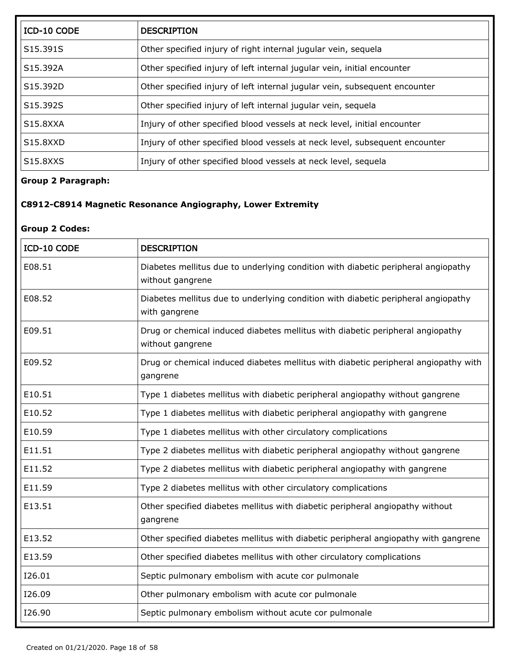| ICD-10 CODE                       | <b>DESCRIPTION</b>                                                          |
|-----------------------------------|-----------------------------------------------------------------------------|
| S15.391S                          | Other specified injury of right internal jugular vein, sequela              |
| S15.392A                          | Other specified injury of left internal jugular vein, initial encounter     |
| S15.392D                          | Other specified injury of left internal jugular vein, subsequent encounter  |
| S15.392S                          | Other specified injury of left internal jugular vein, sequela               |
| S15.8XXA                          | Injury of other specified blood vessels at neck level, initial encounter    |
| S15.8XXD                          | Injury of other specified blood vessels at neck level, subsequent encounter |
| S <sub>15</sub> .8X <sub>XS</sub> | Injury of other specified blood vessels at neck level, sequela              |

## **Group 2 Paragraph:**

## **C8912-C8914 Magnetic Resonance Angiography, Lower Extremity**

#### **Group 2 Codes:**

| ICD-10 CODE | <b>DESCRIPTION</b>                                                                                    |
|-------------|-------------------------------------------------------------------------------------------------------|
| E08.51      | Diabetes mellitus due to underlying condition with diabetic peripheral angiopathy<br>without gangrene |
| E08.52      | Diabetes mellitus due to underlying condition with diabetic peripheral angiopathy<br>with gangrene    |
| E09.51      | Drug or chemical induced diabetes mellitus with diabetic peripheral angiopathy<br>without gangrene    |
| E09.52      | Drug or chemical induced diabetes mellitus with diabetic peripheral angiopathy with<br>gangrene       |
| E10.51      | Type 1 diabetes mellitus with diabetic peripheral angiopathy without gangrene                         |
| E10.52      | Type 1 diabetes mellitus with diabetic peripheral angiopathy with gangrene                            |
| E10.59      | Type 1 diabetes mellitus with other circulatory complications                                         |
| E11.51      | Type 2 diabetes mellitus with diabetic peripheral angiopathy without gangrene                         |
| E11.52      | Type 2 diabetes mellitus with diabetic peripheral angiopathy with gangrene                            |
| E11.59      | Type 2 diabetes mellitus with other circulatory complications                                         |
| E13.51      | Other specified diabetes mellitus with diabetic peripheral angiopathy without<br>gangrene             |
| E13.52      | Other specified diabetes mellitus with diabetic peripheral angiopathy with gangrene                   |
| E13.59      | Other specified diabetes mellitus with other circulatory complications                                |
| I26.01      | Septic pulmonary embolism with acute cor pulmonale                                                    |
| I26.09      | Other pulmonary embolism with acute cor pulmonale                                                     |
| I26.90      | Septic pulmonary embolism without acute cor pulmonale                                                 |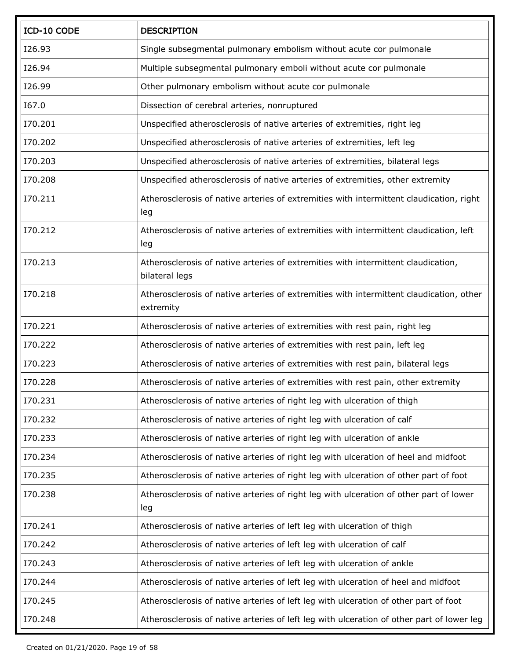| ICD-10 CODE | <b>DESCRIPTION</b>                                                                                   |
|-------------|------------------------------------------------------------------------------------------------------|
| I26.93      | Single subsegmental pulmonary embolism without acute cor pulmonale                                   |
| I26.94      | Multiple subsegmental pulmonary emboli without acute cor pulmonale                                   |
| I26.99      | Other pulmonary embolism without acute cor pulmonale                                                 |
| I67.0       | Dissection of cerebral arteries, nonruptured                                                         |
| I70.201     | Unspecified atherosclerosis of native arteries of extremities, right leg                             |
| I70.202     | Unspecified atherosclerosis of native arteries of extremities, left leg                              |
| I70.203     | Unspecified atherosclerosis of native arteries of extremities, bilateral legs                        |
| I70.208     | Unspecified atherosclerosis of native arteries of extremities, other extremity                       |
| I70.211     | Atherosclerosis of native arteries of extremities with intermittent claudication, right<br>leg       |
| I70.212     | Atherosclerosis of native arteries of extremities with intermittent claudication, left<br>leg        |
| I70.213     | Atherosclerosis of native arteries of extremities with intermittent claudication,<br>bilateral legs  |
| I70.218     | Atherosclerosis of native arteries of extremities with intermittent claudication, other<br>extremity |
| I70.221     | Atherosclerosis of native arteries of extremities with rest pain, right leg                          |
| I70.222     | Atherosclerosis of native arteries of extremities with rest pain, left leg                           |
| I70.223     | Atherosclerosis of native arteries of extremities with rest pain, bilateral legs                     |
| I70.228     | Atherosclerosis of native arteries of extremities with rest pain, other extremity                    |
| I70.231     | Atherosclerosis of native arteries of right leg with ulceration of thigh                             |
| I70.232     | Atherosclerosis of native arteries of right leg with ulceration of calf                              |
| I70.233     | Atherosclerosis of native arteries of right leg with ulceration of ankle                             |
| I70.234     | Atherosclerosis of native arteries of right leg with ulceration of heel and midfoot                  |
| I70.235     | Atherosclerosis of native arteries of right leg with ulceration of other part of foot                |
| I70.238     | Atherosclerosis of native arteries of right leg with ulceration of other part of lower<br>leg        |
| I70.241     | Atherosclerosis of native arteries of left leg with ulceration of thigh                              |
| I70.242     | Atherosclerosis of native arteries of left leg with ulceration of calf                               |
| I70.243     | Atherosclerosis of native arteries of left leg with ulceration of ankle                              |
| I70.244     | Atherosclerosis of native arteries of left leg with ulceration of heel and midfoot                   |
| I70.245     | Atherosclerosis of native arteries of left leg with ulceration of other part of foot                 |
| I70.248     | Atherosclerosis of native arteries of left leg with ulceration of other part of lower leg            |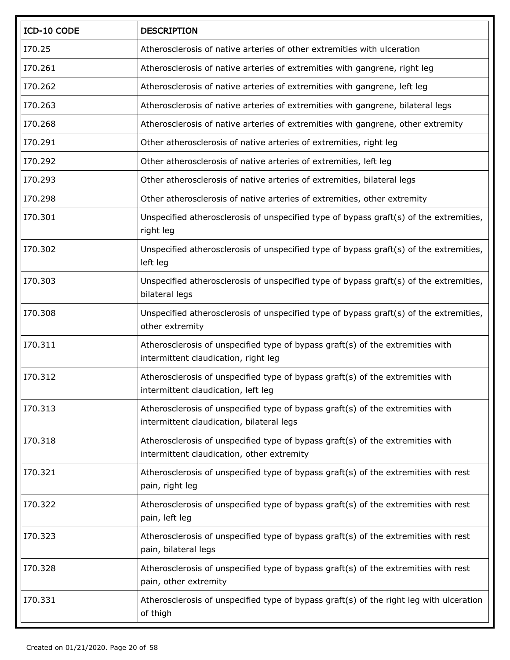| ICD-10 CODE | <b>DESCRIPTION</b>                                                                                                           |
|-------------|------------------------------------------------------------------------------------------------------------------------------|
| I70.25      | Atherosclerosis of native arteries of other extremities with ulceration                                                      |
| I70.261     | Atherosclerosis of native arteries of extremities with gangrene, right leg                                                   |
| I70.262     | Atherosclerosis of native arteries of extremities with gangrene, left leg                                                    |
| I70.263     | Atherosclerosis of native arteries of extremities with gangrene, bilateral legs                                              |
| I70.268     | Atherosclerosis of native arteries of extremities with gangrene, other extremity                                             |
| I70.291     | Other atherosclerosis of native arteries of extremities, right leg                                                           |
| I70.292     | Other atherosclerosis of native arteries of extremities, left leg                                                            |
| I70.293     | Other atherosclerosis of native arteries of extremities, bilateral legs                                                      |
| I70.298     | Other atherosclerosis of native arteries of extremities, other extremity                                                     |
| 170.301     | Unspecified atherosclerosis of unspecified type of bypass graft(s) of the extremities,<br>right leg                          |
| I70.302     | Unspecified atherosclerosis of unspecified type of bypass graft(s) of the extremities,<br>left leg                           |
| I70.303     | Unspecified atherosclerosis of unspecified type of bypass graft(s) of the extremities,<br>bilateral legs                     |
| 170.308     | Unspecified atherosclerosis of unspecified type of bypass graft(s) of the extremities,<br>other extremity                    |
| I70.311     | Atherosclerosis of unspecified type of bypass graft(s) of the extremities with<br>intermittent claudication, right leg       |
| 170.312     | Atherosclerosis of unspecified type of bypass graft(s) of the extremities with<br>intermittent claudication, left leg        |
| I70.313     | Atherosclerosis of unspecified type of bypass graft(s) of the extremities with<br>intermittent claudication, bilateral legs  |
| 170.318     | Atherosclerosis of unspecified type of bypass graft(s) of the extremities with<br>intermittent claudication, other extremity |
| I70.321     | Atherosclerosis of unspecified type of bypass graft(s) of the extremities with rest<br>pain, right leg                       |
| I70.322     | Atherosclerosis of unspecified type of bypass graft(s) of the extremities with rest<br>pain, left leg                        |
| I70.323     | Atherosclerosis of unspecified type of bypass graft(s) of the extremities with rest<br>pain, bilateral legs                  |
| I70.328     | Atherosclerosis of unspecified type of bypass graft(s) of the extremities with rest<br>pain, other extremity                 |
| 170.331     | Atherosclerosis of unspecified type of bypass graft(s) of the right leg with ulceration<br>of thigh                          |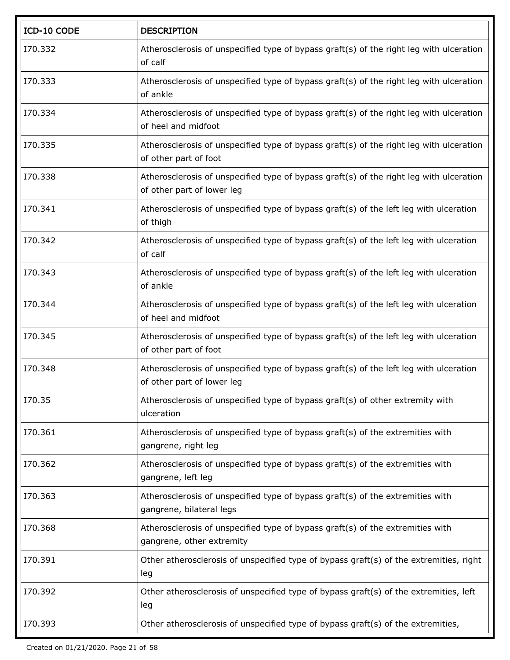| ICD-10 CODE | <b>DESCRIPTION</b>                                                                                                    |
|-------------|-----------------------------------------------------------------------------------------------------------------------|
| I70.332     | Atherosclerosis of unspecified type of bypass graft(s) of the right leg with ulceration<br>of calf                    |
| I70.333     | Atherosclerosis of unspecified type of bypass graft(s) of the right leg with ulceration<br>of ankle                   |
| I70.334     | Atherosclerosis of unspecified type of bypass graft(s) of the right leg with ulceration<br>of heel and midfoot        |
| I70.335     | Atherosclerosis of unspecified type of bypass graft(s) of the right leg with ulceration<br>of other part of foot      |
| I70.338     | Atherosclerosis of unspecified type of bypass graft(s) of the right leg with ulceration<br>of other part of lower leg |
| I70.341     | Atherosclerosis of unspecified type of bypass graft(s) of the left leg with ulceration<br>of thigh                    |
| I70.342     | Atherosclerosis of unspecified type of bypass graft(s) of the left leg with ulceration<br>of calf                     |
| I70.343     | Atherosclerosis of unspecified type of bypass graft(s) of the left leg with ulceration<br>of ankle                    |
| I70.344     | Atherosclerosis of unspecified type of bypass graft(s) of the left leg with ulceration<br>of heel and midfoot         |
| I70.345     | Atherosclerosis of unspecified type of bypass graft(s) of the left leg with ulceration<br>of other part of foot       |
| I70.348     | Atherosclerosis of unspecified type of bypass graft(s) of the left leg with ulceration<br>of other part of lower leg  |
| I70.35      | Atherosclerosis of unspecified type of bypass graft(s) of other extremity with<br>ulceration                          |
| I70.361     | Atherosclerosis of unspecified type of bypass graft(s) of the extremities with<br>gangrene, right leg                 |
| I70.362     | Atherosclerosis of unspecified type of bypass graft(s) of the extremities with<br>gangrene, left leg                  |
| I70.363     | Atherosclerosis of unspecified type of bypass graft(s) of the extremities with<br>gangrene, bilateral legs            |
| I70.368     | Atherosclerosis of unspecified type of bypass graft(s) of the extremities with<br>gangrene, other extremity           |
| I70.391     | Other atherosclerosis of unspecified type of bypass graft(s) of the extremities, right<br>leg                         |
| I70.392     | Other atherosclerosis of unspecified type of bypass graft(s) of the extremities, left<br>leg                          |
| I70.393     | Other atherosclerosis of unspecified type of bypass graft(s) of the extremities,                                      |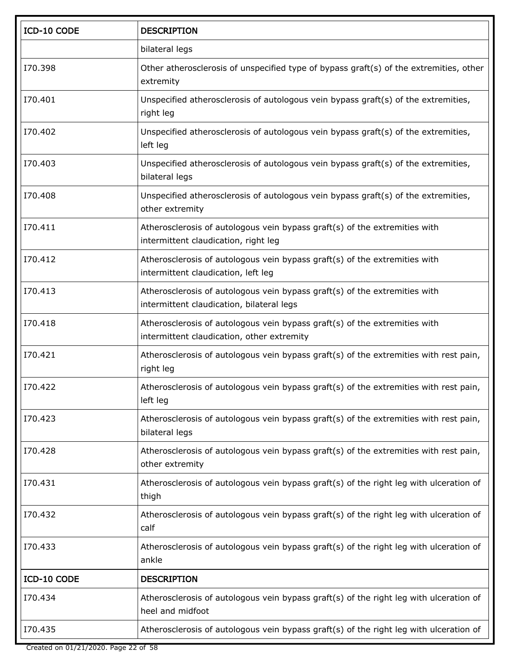| ICD-10 CODE | <b>DESCRIPTION</b>                                                                                                       |
|-------------|--------------------------------------------------------------------------------------------------------------------------|
|             | bilateral legs                                                                                                           |
| I70.398     | Other atherosclerosis of unspecified type of bypass graft(s) of the extremities, other<br>extremity                      |
| I70.401     | Unspecified atherosclerosis of autologous vein bypass graft(s) of the extremities,<br>right leg                          |
| I70.402     | Unspecified atherosclerosis of autologous vein bypass graft(s) of the extremities,<br>left leg                           |
| I70.403     | Unspecified atherosclerosis of autologous vein bypass graft(s) of the extremities,<br>bilateral legs                     |
| I70.408     | Unspecified atherosclerosis of autologous vein bypass graft(s) of the extremities,<br>other extremity                    |
| I70.411     | Atherosclerosis of autologous vein bypass graft(s) of the extremities with<br>intermittent claudication, right leg       |
| I70.412     | Atherosclerosis of autologous vein bypass graft(s) of the extremities with<br>intermittent claudication, left leg        |
| I70.413     | Atherosclerosis of autologous vein bypass graft(s) of the extremities with<br>intermittent claudication, bilateral legs  |
| I70.418     | Atherosclerosis of autologous vein bypass graft(s) of the extremities with<br>intermittent claudication, other extremity |
| I70.421     | Atherosclerosis of autologous vein bypass graft(s) of the extremities with rest pain,<br>right leg                       |
| I70.422     | Atherosclerosis of autologous vein bypass graft(s) of the extremities with rest pain,<br>left leg                        |
| I70.423     | Atherosclerosis of autologous vein bypass graft(s) of the extremities with rest pain,<br>bilateral legs                  |
| I70.428     | Atherosclerosis of autologous vein bypass graft(s) of the extremities with rest pain,<br>other extremity                 |
| I70.431     | Atherosclerosis of autologous vein bypass graft(s) of the right leg with ulceration of<br>thigh                          |
| I70.432     | Atherosclerosis of autologous vein bypass graft(s) of the right leg with ulceration of<br>calf                           |
| I70.433     | Atherosclerosis of autologous vein bypass graft(s) of the right leg with ulceration of<br>ankle                          |
| ICD-10 CODE | <b>DESCRIPTION</b>                                                                                                       |
| I70.434     | Atherosclerosis of autologous vein bypass graft(s) of the right leg with ulceration of<br>heel and midfoot               |
| I70.435     | Atherosclerosis of autologous vein bypass graft(s) of the right leg with ulceration of                                   |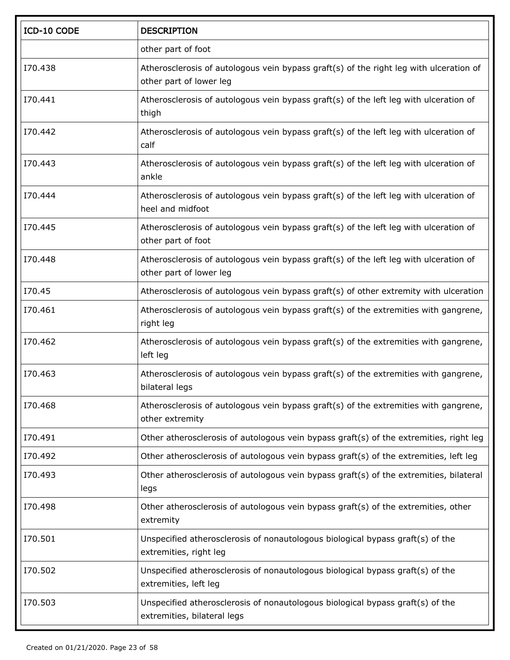| ICD-10 CODE | <b>DESCRIPTION</b>                                                                                                |
|-------------|-------------------------------------------------------------------------------------------------------------------|
|             | other part of foot                                                                                                |
| I70.438     | Atherosclerosis of autologous vein bypass graft(s) of the right leg with ulceration of<br>other part of lower leg |
| I70.441     | Atherosclerosis of autologous vein bypass graft(s) of the left leg with ulceration of<br>thigh                    |
| I70.442     | Atherosclerosis of autologous vein bypass graft(s) of the left leg with ulceration of<br>calf                     |
| I70.443     | Atherosclerosis of autologous vein bypass graft(s) of the left leg with ulceration of<br>ankle                    |
| I70.444     | Atherosclerosis of autologous vein bypass graft(s) of the left leg with ulceration of<br>heel and midfoot         |
| I70.445     | Atherosclerosis of autologous vein bypass graft(s) of the left leg with ulceration of<br>other part of foot       |
| I70.448     | Atherosclerosis of autologous vein bypass graft(s) of the left leg with ulceration of<br>other part of lower leg  |
| I70.45      | Atherosclerosis of autologous vein bypass graft(s) of other extremity with ulceration                             |
| I70.461     | Atherosclerosis of autologous vein bypass graft(s) of the extremities with gangrene,<br>right leg                 |
| I70.462     | Atherosclerosis of autologous vein bypass graft(s) of the extremities with gangrene,<br>left leg                  |
| I70.463     | Atherosclerosis of autologous vein bypass graft(s) of the extremities with gangrene,<br>bilateral legs            |
| I70.468     | Atherosclerosis of autologous vein bypass graft(s) of the extremities with gangrene,<br>other extremity           |
| I70.491     | Other atherosclerosis of autologous vein bypass graft(s) of the extremities, right leg                            |
| I70.492     | Other atherosclerosis of autologous vein bypass graft(s) of the extremities, left leg                             |
| I70.493     | Other atherosclerosis of autologous vein bypass graft(s) of the extremities, bilateral<br>legs                    |
| I70.498     | Other atherosclerosis of autologous vein bypass graft(s) of the extremities, other<br>extremity                   |
| I70.501     | Unspecified atherosclerosis of nonautologous biological bypass graft(s) of the<br>extremities, right leg          |
| I70.502     | Unspecified atherosclerosis of nonautologous biological bypass graft(s) of the<br>extremities, left leg           |
| I70.503     | Unspecified atherosclerosis of nonautologous biological bypass graft(s) of the<br>extremities, bilateral legs     |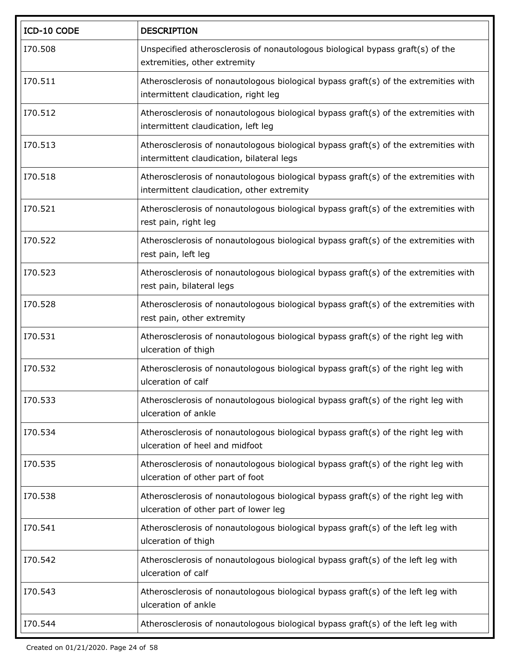| ICD-10 CODE | <b>DESCRIPTION</b>                                                                                                                |
|-------------|-----------------------------------------------------------------------------------------------------------------------------------|
| 170.508     | Unspecified atherosclerosis of nonautologous biological bypass graft(s) of the<br>extremities, other extremity                    |
| I70.511     | Atherosclerosis of nonautologous biological bypass graft(s) of the extremities with<br>intermittent claudication, right leg       |
| I70.512     | Atherosclerosis of nonautologous biological bypass graft(s) of the extremities with<br>intermittent claudication, left leg        |
| 170.513     | Atherosclerosis of nonautologous biological bypass graft(s) of the extremities with<br>intermittent claudication, bilateral legs  |
| 170.518     | Atherosclerosis of nonautologous biological bypass graft(s) of the extremities with<br>intermittent claudication, other extremity |
| 170.521     | Atherosclerosis of nonautologous biological bypass graft(s) of the extremities with<br>rest pain, right leg                       |
| I70.522     | Atherosclerosis of nonautologous biological bypass graft(s) of the extremities with<br>rest pain, left leg                        |
| I70.523     | Atherosclerosis of nonautologous biological bypass graft(s) of the extremities with<br>rest pain, bilateral legs                  |
| 170.528     | Atherosclerosis of nonautologous biological bypass graft(s) of the extremities with<br>rest pain, other extremity                 |
| I70.531     | Atherosclerosis of nonautologous biological bypass graft(s) of the right leg with<br>ulceration of thigh                          |
| I70.532     | Atherosclerosis of nonautologous biological bypass graft(s) of the right leg with<br>ulceration of calf                           |
| I70.533     | Atherosclerosis of nonautologous biological bypass graft(s) of the right leg with<br>ulceration of ankle                          |
| I70.534     | Atherosclerosis of nonautologous biological bypass graft(s) of the right leg with<br>ulceration of heel and midfoot               |
| I70.535     | Atherosclerosis of nonautologous biological bypass graft(s) of the right leg with<br>ulceration of other part of foot             |
| 170.538     | Atherosclerosis of nonautologous biological bypass graft(s) of the right leg with<br>ulceration of other part of lower leg        |
| I70.541     | Atherosclerosis of nonautologous biological bypass graft(s) of the left leg with<br>ulceration of thigh                           |
| I70.542     | Atherosclerosis of nonautologous biological bypass graft(s) of the left leg with<br>ulceration of calf                            |
| 170.543     | Atherosclerosis of nonautologous biological bypass graft(s) of the left leg with<br>ulceration of ankle                           |
| 170.544     | Atherosclerosis of nonautologous biological bypass graft(s) of the left leg with                                                  |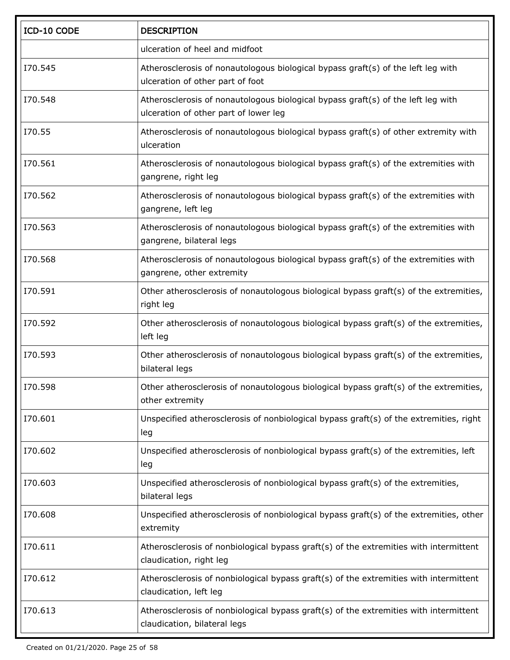| ICD-10 CODE | <b>DESCRIPTION</b>                                                                                                        |
|-------------|---------------------------------------------------------------------------------------------------------------------------|
|             | ulceration of heel and midfoot                                                                                            |
| I70.545     | Atherosclerosis of nonautologous biological bypass graft(s) of the left leg with<br>ulceration of other part of foot      |
| I70.548     | Atherosclerosis of nonautologous biological bypass graft(s) of the left leg with<br>ulceration of other part of lower leg |
| I70.55      | Atherosclerosis of nonautologous biological bypass graft(s) of other extremity with<br>ulceration                         |
| I70.561     | Atherosclerosis of nonautologous biological bypass graft(s) of the extremities with<br>gangrene, right leg                |
| I70.562     | Atherosclerosis of nonautologous biological bypass graft(s) of the extremities with<br>gangrene, left leg                 |
| I70.563     | Atherosclerosis of nonautologous biological bypass graft(s) of the extremities with<br>gangrene, bilateral legs           |
| I70.568     | Atherosclerosis of nonautologous biological bypass graft(s) of the extremities with<br>gangrene, other extremity          |
| I70.591     | Other atherosclerosis of nonautologous biological bypass graft(s) of the extremities,<br>right leg                        |
| I70.592     | Other atherosclerosis of nonautologous biological bypass graft(s) of the extremities,<br>left leg                         |
| I70.593     | Other atherosclerosis of nonautologous biological bypass graft(s) of the extremities,<br>bilateral legs                   |
| I70.598     | Other atherosclerosis of nonautologous biological bypass graft(s) of the extremities,<br>other extremity                  |
| I70.601     | Unspecified atherosclerosis of nonbiological bypass graft(s) of the extremities, right<br>leg                             |
| I70.602     | Unspecified atherosclerosis of nonbiological bypass graft(s) of the extremities, left<br>leg                              |
| I70.603     | Unspecified atherosclerosis of nonbiological bypass graft(s) of the extremities,<br>bilateral legs                        |
| I70.608     | Unspecified atherosclerosis of nonbiological bypass graft(s) of the extremities, other<br>extremity                       |
| I70.611     | Atherosclerosis of nonbiological bypass graft(s) of the extremities with intermittent<br>claudication, right leg          |
| I70.612     | Atherosclerosis of nonbiological bypass graft(s) of the extremities with intermittent<br>claudication, left leg           |
| I70.613     | Atherosclerosis of nonbiological bypass graft(s) of the extremities with intermittent<br>claudication, bilateral legs     |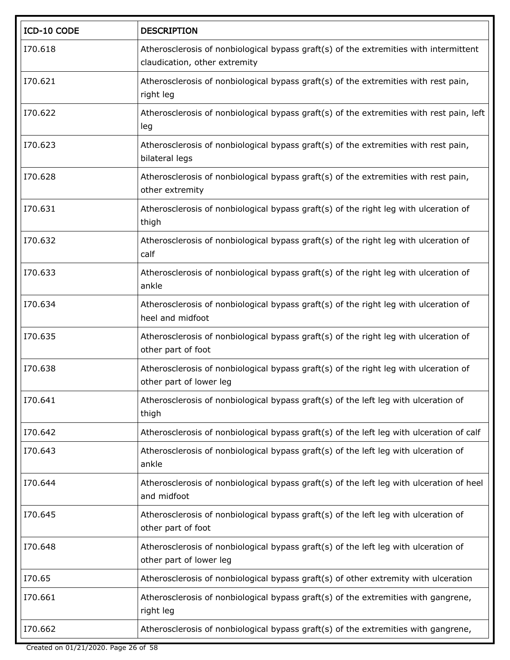| ICD-10 CODE | <b>DESCRIPTION</b>                                                                                                     |
|-------------|------------------------------------------------------------------------------------------------------------------------|
| I70.618     | Atherosclerosis of nonbiological bypass graft(s) of the extremities with intermittent<br>claudication, other extremity |
| I70.621     | Atherosclerosis of nonbiological bypass graft(s) of the extremities with rest pain,<br>right leg                       |
| I70.622     | Atherosclerosis of nonbiological bypass graft(s) of the extremities with rest pain, left<br>leg                        |
| I70.623     | Atherosclerosis of nonbiological bypass graft(s) of the extremities with rest pain,<br>bilateral legs                  |
| I70.628     | Atherosclerosis of nonbiological bypass graft(s) of the extremities with rest pain,<br>other extremity                 |
| I70.631     | Atherosclerosis of nonbiological bypass graft(s) of the right leg with ulceration of<br>thigh                          |
| I70.632     | Atherosclerosis of nonbiological bypass graft(s) of the right leg with ulceration of<br>calf                           |
| I70.633     | Atherosclerosis of nonbiological bypass graft(s) of the right leg with ulceration of<br>ankle                          |
| I70.634     | Atherosclerosis of nonbiological bypass graft(s) of the right leg with ulceration of<br>heel and midfoot               |
| I70.635     | Atherosclerosis of nonbiological bypass graft(s) of the right leg with ulceration of<br>other part of foot             |
| I70.638     | Atherosclerosis of nonbiological bypass graft(s) of the right leg with ulceration of<br>other part of lower leg        |
| I70.641     | Atherosclerosis of nonbiological bypass graft(s) of the left leg with ulceration of<br>thigh                           |
| I70.642     | Atherosclerosis of nonbiological bypass graft(s) of the left leg with ulceration of calf                               |
| I70.643     | Atherosclerosis of nonbiological bypass graft(s) of the left leg with ulceration of<br>ankle                           |
| I70.644     | Atherosclerosis of nonbiological bypass graft(s) of the left leg with ulceration of heel<br>and midfoot                |
| I70.645     | Atherosclerosis of nonbiological bypass graft(s) of the left leg with ulceration of<br>other part of foot              |
| I70.648     | Atherosclerosis of nonbiological bypass graft(s) of the left leg with ulceration of<br>other part of lower leg         |
| I70.65      | Atherosclerosis of nonbiological bypass graft(s) of other extremity with ulceration                                    |
| I70.661     | Atherosclerosis of nonbiological bypass graft(s) of the extremities with gangrene,<br>right leg                        |
| I70.662     | Atherosclerosis of nonbiological bypass graft(s) of the extremities with gangrene,                                     |

Created on 01/21/2020. Page 26 of 58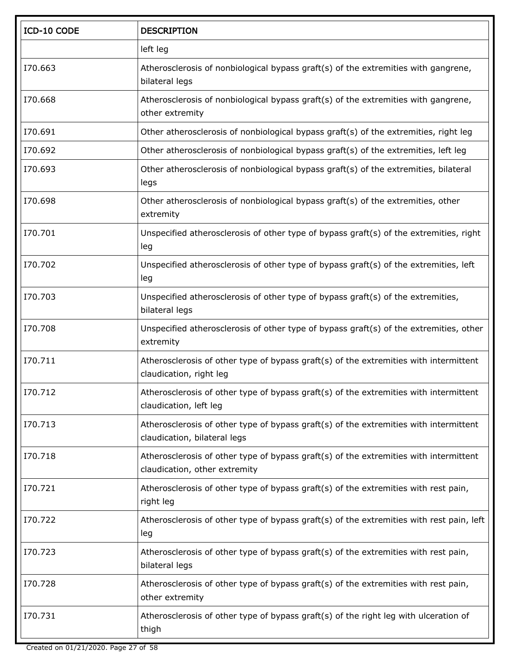| ICD-10 CODE | <b>DESCRIPTION</b>                                                                                                     |
|-------------|------------------------------------------------------------------------------------------------------------------------|
|             | left leg                                                                                                               |
| I70.663     | Atherosclerosis of nonbiological bypass graft(s) of the extremities with gangrene,<br>bilateral legs                   |
| I70.668     | Atherosclerosis of nonbiological bypass graft(s) of the extremities with gangrene,<br>other extremity                  |
| I70.691     | Other atherosclerosis of nonbiological bypass graft(s) of the extremities, right leg                                   |
| I70.692     | Other atherosclerosis of nonbiological bypass graft(s) of the extremities, left leg                                    |
| I70.693     | Other atherosclerosis of nonbiological bypass graft(s) of the extremities, bilateral<br>legs                           |
| I70.698     | Other atherosclerosis of nonbiological bypass graft(s) of the extremities, other<br>extremity                          |
| I70.701     | Unspecified atherosclerosis of other type of bypass graft(s) of the extremities, right<br>leg                          |
| I70.702     | Unspecified atherosclerosis of other type of bypass graft(s) of the extremities, left<br>leg                           |
| I70.703     | Unspecified atherosclerosis of other type of bypass graft(s) of the extremities,<br>bilateral legs                     |
| I70.708     | Unspecified atherosclerosis of other type of bypass graft(s) of the extremities, other<br>extremity                    |
| I70.711     | Atherosclerosis of other type of bypass graft(s) of the extremities with intermittent<br>claudication, right leg       |
| I70.712     | Atherosclerosis of other type of bypass graft(s) of the extremities with intermittent<br>claudication, left leg        |
| I70.713     | Atherosclerosis of other type of bypass graft(s) of the extremities with intermittent<br>claudication, bilateral legs  |
| I70.718     | Atherosclerosis of other type of bypass graft(s) of the extremities with intermittent<br>claudication, other extremity |
| I70.721     | Atherosclerosis of other type of bypass graft(s) of the extremities with rest pain,<br>right leg                       |
| I70.722     | Atherosclerosis of other type of bypass graft(s) of the extremities with rest pain, left<br>leg                        |
| I70.723     | Atherosclerosis of other type of bypass graft(s) of the extremities with rest pain,<br>bilateral legs                  |
| I70.728     | Atherosclerosis of other type of bypass graft(s) of the extremities with rest pain,<br>other extremity                 |
| 170.731     | Atherosclerosis of other type of bypass graft(s) of the right leg with ulceration of<br>thigh                          |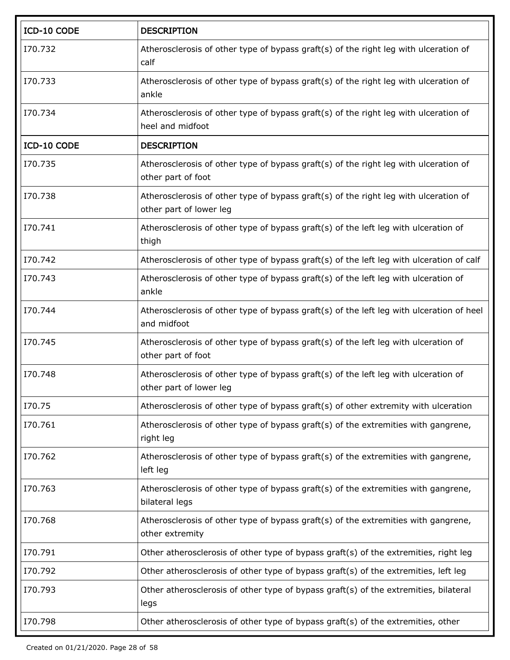| ICD-10 CODE | <b>DESCRIPTION</b>                                                                                              |
|-------------|-----------------------------------------------------------------------------------------------------------------|
| I70.732     | Atherosclerosis of other type of bypass graft(s) of the right leg with ulceration of<br>calf                    |
| I70.733     | Atherosclerosis of other type of bypass graft(s) of the right leg with ulceration of<br>ankle                   |
| I70.734     | Atherosclerosis of other type of bypass graft(s) of the right leg with ulceration of<br>heel and midfoot        |
| ICD-10 CODE | <b>DESCRIPTION</b>                                                                                              |
| I70.735     | Atherosclerosis of other type of bypass graft(s) of the right leg with ulceration of<br>other part of foot      |
| I70.738     | Atherosclerosis of other type of bypass graft(s) of the right leg with ulceration of<br>other part of lower leg |
| 170.741     | Atherosclerosis of other type of bypass graft(s) of the left leg with ulceration of<br>thigh                    |
| I70.742     | Atherosclerosis of other type of bypass graft(s) of the left leg with ulceration of calf                        |
| I70.743     | Atherosclerosis of other type of bypass graft(s) of the left leg with ulceration of<br>ankle                    |
| I70.744     | Atherosclerosis of other type of bypass graft(s) of the left leg with ulceration of heel<br>and midfoot         |
| I70.745     | Atherosclerosis of other type of bypass graft(s) of the left leg with ulceration of<br>other part of foot       |
| I70.748     | Atherosclerosis of other type of bypass graft(s) of the left leg with ulceration of<br>other part of lower leg  |
| I70.75      | Atherosclerosis of other type of bypass graft(s) of other extremity with ulceration                             |
| I70.761     | Atherosclerosis of other type of bypass graft(s) of the extremities with gangrene,<br>right leg                 |
| I70.762     | Atherosclerosis of other type of bypass graft(s) of the extremities with gangrene,<br>left leg                  |
| I70.763     | Atherosclerosis of other type of bypass graft(s) of the extremities with gangrene,<br>bilateral legs            |
| I70.768     | Atherosclerosis of other type of bypass graft(s) of the extremities with gangrene,<br>other extremity           |
| I70.791     | Other atherosclerosis of other type of bypass graft(s) of the extremities, right leg                            |
| I70.792     | Other atherosclerosis of other type of bypass graft(s) of the extremities, left leg                             |
| I70.793     | Other atherosclerosis of other type of bypass graft(s) of the extremities, bilateral<br>legs                    |
| I70.798     | Other atherosclerosis of other type of bypass graft(s) of the extremities, other                                |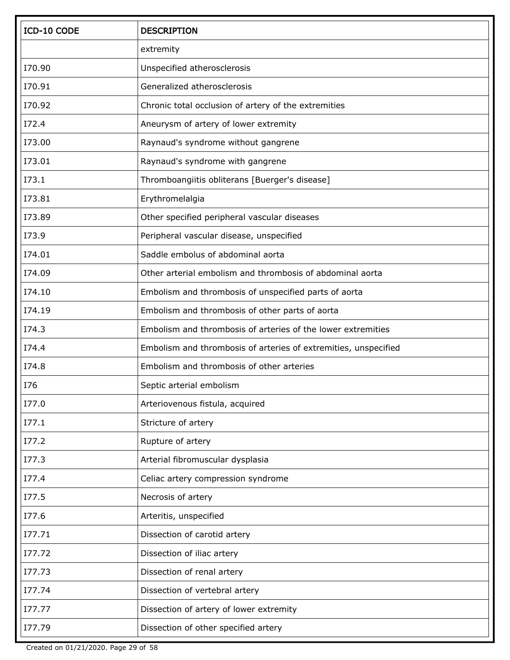| ICD-10 CODE   | <b>DESCRIPTION</b>                                              |
|---------------|-----------------------------------------------------------------|
|               | extremity                                                       |
| I70.90        | Unspecified atherosclerosis                                     |
| I70.91        | Generalized atherosclerosis                                     |
| 170.92        | Chronic total occlusion of artery of the extremities            |
| I72.4         | Aneurysm of artery of lower extremity                           |
| I73.00        | Raynaud's syndrome without gangrene                             |
| I73.01        | Raynaud's syndrome with gangrene                                |
| I73.1         | Thromboangiitis obliterans [Buerger's disease]                  |
| <b>I73.81</b> | Erythromelalgia                                                 |
| I73.89        | Other specified peripheral vascular diseases                    |
| I73.9         | Peripheral vascular disease, unspecified                        |
| I74.01        | Saddle embolus of abdominal aorta                               |
| I74.09        | Other arterial embolism and thrombosis of abdominal aorta       |
| I74.10        | Embolism and thrombosis of unspecified parts of aorta           |
| I74.19        | Embolism and thrombosis of other parts of aorta                 |
| I74.3         | Embolism and thrombosis of arteries of the lower extremities    |
| I74.4         | Embolism and thrombosis of arteries of extremities, unspecified |
| I74.8         | Embolism and thrombosis of other arteries                       |
| I76           | Septic arterial embolism                                        |
| I77.0         | Arteriovenous fistula, acquired                                 |
| I77.1         | Stricture of artery                                             |
| I77.2         | Rupture of artery                                               |
| I77.3         | Arterial fibromuscular dysplasia                                |
| I77.4         | Celiac artery compression syndrome                              |
| I77.5         | Necrosis of artery                                              |
| I77.6         | Arteritis, unspecified                                          |
| 177.71        | Dissection of carotid artery                                    |
| I77.72        | Dissection of iliac artery                                      |
| I77.73        | Dissection of renal artery                                      |
| 177.74        | Dissection of vertebral artery                                  |
| 177.77        | Dissection of artery of lower extremity                         |
| I77.79        | Dissection of other specified artery                            |

Created on 01/21/2020. Page 29 of 58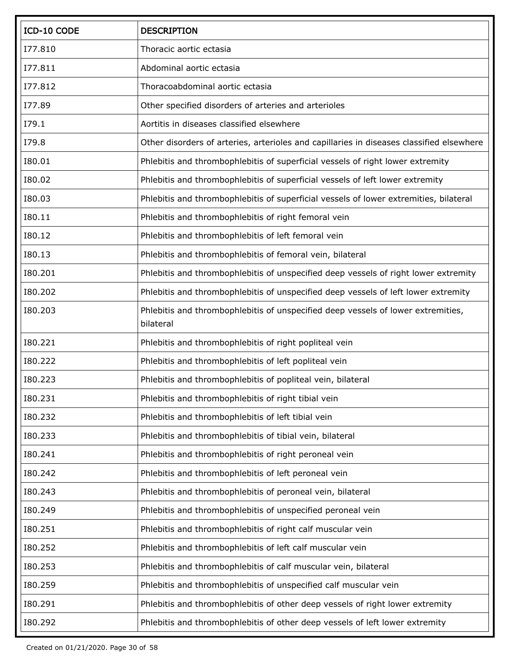| ICD-10 CODE   | <b>DESCRIPTION</b>                                                                            |
|---------------|-----------------------------------------------------------------------------------------------|
| I77.810       | Thoracic aortic ectasia                                                                       |
| I77.811       | Abdominal aortic ectasia                                                                      |
| I77.812       | Thoracoabdominal aortic ectasia                                                               |
| I77.89        | Other specified disorders of arteries and arterioles                                          |
| I79.1         | Aortitis in diseases classified elsewhere                                                     |
| I79.8         | Other disorders of arteries, arterioles and capillaries in diseases classified elsewhere      |
| I80.01        | Phlebitis and thrombophlebitis of superficial vessels of right lower extremity                |
| I80.02        | Phlebitis and thrombophlebitis of superficial vessels of left lower extremity                 |
| I80.03        | Phlebitis and thrombophlebitis of superficial vessels of lower extremities, bilateral         |
| I80.11        | Phlebitis and thrombophlebitis of right femoral vein                                          |
| <b>I80.12</b> | Phlebitis and thrombophlebitis of left femoral vein                                           |
| <b>I80.13</b> | Phlebitis and thrombophlebitis of femoral vein, bilateral                                     |
| 180.201       | Phlebitis and thrombophlebitis of unspecified deep vessels of right lower extremity           |
| 180.202       | Phlebitis and thrombophlebitis of unspecified deep vessels of left lower extremity            |
| 180.203       | Phlebitis and thrombophlebitis of unspecified deep vessels of lower extremities,<br>bilateral |
| 180.221       | Phlebitis and thrombophlebitis of right popliteal vein                                        |
| 180.222       | Phlebitis and thrombophlebitis of left popliteal vein                                         |
| 180.223       | Phlebitis and thrombophlebitis of popliteal vein, bilateral                                   |
| 180.231       | Phlebitis and thrombophlebitis of right tibial vein                                           |
| 180.232       | Phlebitis and thrombophlebitis of left tibial vein                                            |
| 180.233       | Phlebitis and thrombophlebitis of tibial vein, bilateral                                      |
| 180.241       | Phlebitis and thrombophlebitis of right peroneal vein                                         |
| 180.242       | Phlebitis and thrombophlebitis of left peroneal vein                                          |
| 180.243       | Phlebitis and thrombophlebitis of peroneal vein, bilateral                                    |
| 180.249       | Phlebitis and thrombophlebitis of unspecified peroneal vein                                   |
| 180.251       | Phlebitis and thrombophlebitis of right calf muscular vein                                    |
| 180.252       | Phlebitis and thrombophlebitis of left calf muscular vein                                     |
| 180.253       | Phlebitis and thrombophlebitis of calf muscular vein, bilateral                               |
| 180.259       | Phlebitis and thrombophlebitis of unspecified calf muscular vein                              |
| 180.291       | Phlebitis and thrombophlebitis of other deep vessels of right lower extremity                 |
| 180.292       | Phlebitis and thrombophlebitis of other deep vessels of left lower extremity                  |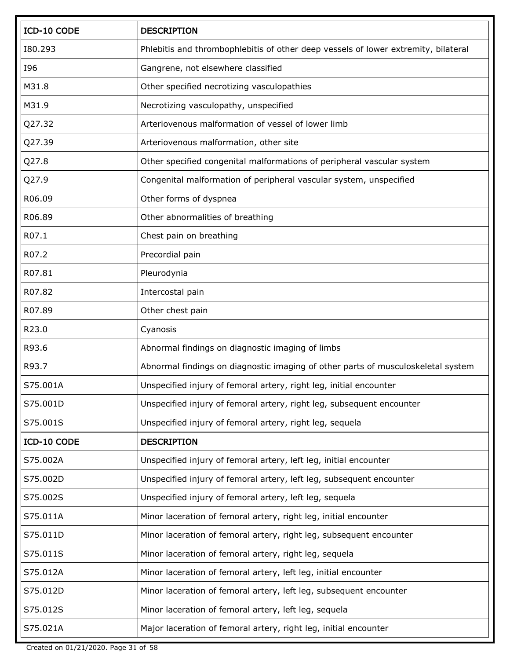| ICD-10 CODE | <b>DESCRIPTION</b>                                                                 |
|-------------|------------------------------------------------------------------------------------|
| 180.293     | Phlebitis and thrombophlebitis of other deep vessels of lower extremity, bilateral |
| <b>I96</b>  | Gangrene, not elsewhere classified                                                 |
| M31.8       | Other specified necrotizing vasculopathies                                         |
| M31.9       | Necrotizing vasculopathy, unspecified                                              |
| Q27.32      | Arteriovenous malformation of vessel of lower limb                                 |
| Q27.39      | Arteriovenous malformation, other site                                             |
| Q27.8       | Other specified congenital malformations of peripheral vascular system             |
| Q27.9       | Congenital malformation of peripheral vascular system, unspecified                 |
| R06.09      | Other forms of dyspnea                                                             |
| R06.89      | Other abnormalities of breathing                                                   |
| R07.1       | Chest pain on breathing                                                            |
| R07.2       | Precordial pain                                                                    |
| R07.81      | Pleurodynia                                                                        |
| R07.82      | Intercostal pain                                                                   |
| R07.89      | Other chest pain                                                                   |
| R23.0       | Cyanosis                                                                           |
| R93.6       | Abnormal findings on diagnostic imaging of limbs                                   |
| R93.7       | Abnormal findings on diagnostic imaging of other parts of musculoskeletal system   |
| S75.001A    | Unspecified injury of femoral artery, right leg, initial encounter                 |
| S75.001D    | Unspecified injury of femoral artery, right leg, subsequent encounter              |
| S75.001S    | Unspecified injury of femoral artery, right leg, sequela                           |
| ICD-10 CODE | <b>DESCRIPTION</b>                                                                 |
| S75.002A    | Unspecified injury of femoral artery, left leg, initial encounter                  |
| S75.002D    | Unspecified injury of femoral artery, left leg, subsequent encounter               |
| S75.002S    | Unspecified injury of femoral artery, left leg, sequela                            |
| S75.011A    | Minor laceration of femoral artery, right leg, initial encounter                   |
| S75.011D    | Minor laceration of femoral artery, right leg, subsequent encounter                |
| S75.011S    | Minor laceration of femoral artery, right leg, sequela                             |
| S75.012A    | Minor laceration of femoral artery, left leg, initial encounter                    |
| S75.012D    | Minor laceration of femoral artery, left leg, subsequent encounter                 |
| S75.012S    | Minor laceration of femoral artery, left leg, sequela                              |
| S75.021A    | Major laceration of femoral artery, right leg, initial encounter                   |

Created on 01/21/2020. Page 31 of 58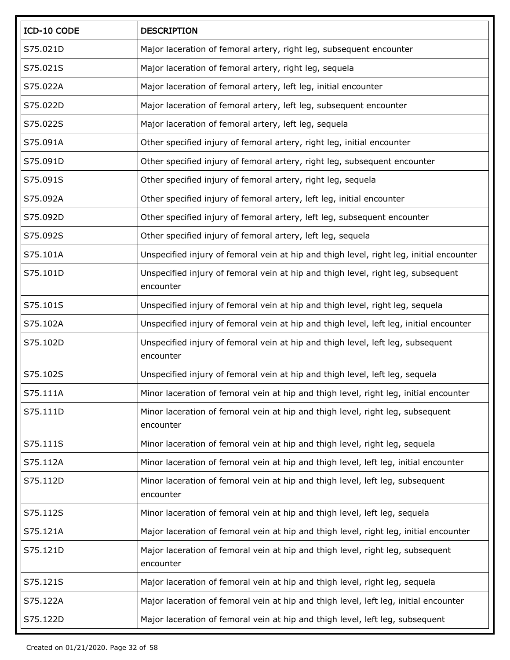| ICD-10 CODE | <b>DESCRIPTION</b>                                                                            |
|-------------|-----------------------------------------------------------------------------------------------|
| S75.021D    | Major laceration of femoral artery, right leg, subsequent encounter                           |
| S75.021S    | Major laceration of femoral artery, right leg, sequela                                        |
| S75.022A    | Major laceration of femoral artery, left leg, initial encounter                               |
| S75.022D    | Major laceration of femoral artery, left leg, subsequent encounter                            |
| S75.022S    | Major laceration of femoral artery, left leg, sequela                                         |
| S75.091A    | Other specified injury of femoral artery, right leg, initial encounter                        |
| S75.091D    | Other specified injury of femoral artery, right leg, subsequent encounter                     |
| S75.091S    | Other specified injury of femoral artery, right leg, sequela                                  |
| S75.092A    | Other specified injury of femoral artery, left leg, initial encounter                         |
| S75.092D    | Other specified injury of femoral artery, left leg, subsequent encounter                      |
| S75.092S    | Other specified injury of femoral artery, left leg, sequela                                   |
| S75.101A    | Unspecified injury of femoral vein at hip and thigh level, right leg, initial encounter       |
| S75.101D    | Unspecified injury of femoral vein at hip and thigh level, right leg, subsequent<br>encounter |
| S75.101S    | Unspecified injury of femoral vein at hip and thigh level, right leg, sequela                 |
| S75.102A    | Unspecified injury of femoral vein at hip and thigh level, left leg, initial encounter        |
| S75.102D    | Unspecified injury of femoral vein at hip and thigh level, left leg, subsequent<br>encounter  |
| S75.102S    | Unspecified injury of femoral vein at hip and thigh level, left leg, sequela                  |
| S75.111A    | Minor laceration of femoral vein at hip and thigh level, right leg, initial encounter         |
| S75.111D    | Minor laceration of femoral vein at hip and thigh level, right leg, subsequent<br>encounter   |
| S75.111S    | Minor laceration of femoral vein at hip and thigh level, right leg, sequela                   |
| S75.112A    | Minor laceration of femoral vein at hip and thigh level, left leg, initial encounter          |
| S75.112D    | Minor laceration of femoral vein at hip and thigh level, left leg, subsequent<br>encounter    |
| S75.112S    | Minor laceration of femoral vein at hip and thigh level, left leg, sequela                    |
| S75.121A    | Major laceration of femoral vein at hip and thigh level, right leg, initial encounter         |
| S75.121D    | Major laceration of femoral vein at hip and thigh level, right leg, subsequent<br>encounter   |
| S75.121S    | Major laceration of femoral vein at hip and thigh level, right leg, sequela                   |
| S75.122A    | Major laceration of femoral vein at hip and thigh level, left leg, initial encounter          |
| S75.122D    | Major laceration of femoral vein at hip and thigh level, left leg, subsequent                 |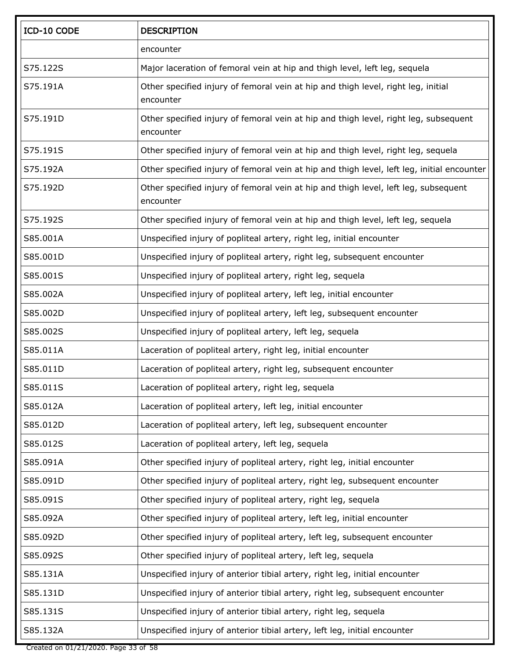| ICD-10 CODE | <b>DESCRIPTION</b>                                                                                |
|-------------|---------------------------------------------------------------------------------------------------|
|             | encounter                                                                                         |
| S75.122S    | Major laceration of femoral vein at hip and thigh level, left leg, sequela                        |
| S75.191A    | Other specified injury of femoral vein at hip and thigh level, right leg, initial<br>encounter    |
| S75.191D    | Other specified injury of femoral vein at hip and thigh level, right leg, subsequent<br>encounter |
| S75.191S    | Other specified injury of femoral vein at hip and thigh level, right leg, sequela                 |
| S75.192A    | Other specified injury of femoral vein at hip and thigh level, left leg, initial encounter        |
| S75.192D    | Other specified injury of femoral vein at hip and thigh level, left leg, subsequent<br>encounter  |
| S75.192S    | Other specified injury of femoral vein at hip and thigh level, left leg, sequela                  |
| S85.001A    | Unspecified injury of popliteal artery, right leg, initial encounter                              |
| S85.001D    | Unspecified injury of popliteal artery, right leg, subsequent encounter                           |
| S85.001S    | Unspecified injury of popliteal artery, right leg, sequela                                        |
| S85.002A    | Unspecified injury of popliteal artery, left leg, initial encounter                               |
| S85.002D    | Unspecified injury of popliteal artery, left leg, subsequent encounter                            |
| S85.002S    | Unspecified injury of popliteal artery, left leg, sequela                                         |
| S85.011A    | Laceration of popliteal artery, right leg, initial encounter                                      |
| S85.011D    | Laceration of popliteal artery, right leg, subsequent encounter                                   |
| S85.011S    | Laceration of popliteal artery, right leg, sequela                                                |
| S85.012A    | Laceration of popliteal artery, left leg, initial encounter                                       |
| S85.012D    | Laceration of popliteal artery, left leg, subsequent encounter                                    |
| S85.012S    | Laceration of popliteal artery, left leg, sequela                                                 |
| S85.091A    | Other specified injury of popliteal artery, right leg, initial encounter                          |
| S85.091D    | Other specified injury of popliteal artery, right leg, subsequent encounter                       |
| S85.091S    | Other specified injury of popliteal artery, right leg, sequela                                    |
| S85.092A    | Other specified injury of popliteal artery, left leg, initial encounter                           |
| S85.092D    | Other specified injury of popliteal artery, left leg, subsequent encounter                        |
| S85.092S    | Other specified injury of popliteal artery, left leg, sequela                                     |
| S85.131A    | Unspecified injury of anterior tibial artery, right leg, initial encounter                        |
| S85.131D    | Unspecified injury of anterior tibial artery, right leg, subsequent encounter                     |
| S85.131S    | Unspecified injury of anterior tibial artery, right leg, sequela                                  |
| S85.132A    | Unspecified injury of anterior tibial artery, left leg, initial encounter                         |

Created on 01/21/2020. Page 33 of 58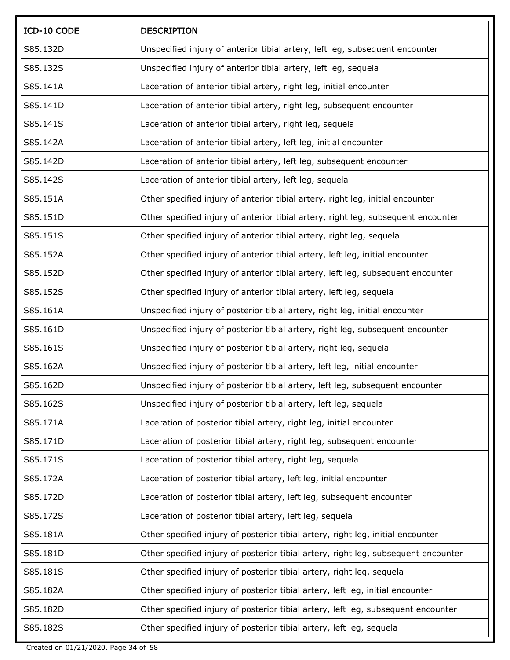| ICD-10 CODE | <b>DESCRIPTION</b>                                                                 |
|-------------|------------------------------------------------------------------------------------|
| S85.132D    | Unspecified injury of anterior tibial artery, left leg, subsequent encounter       |
| S85.132S    | Unspecified injury of anterior tibial artery, left leg, sequela                    |
| S85.141A    | Laceration of anterior tibial artery, right leg, initial encounter                 |
| S85.141D    | Laceration of anterior tibial artery, right leg, subsequent encounter              |
| S85.141S    | Laceration of anterior tibial artery, right leg, sequela                           |
| S85.142A    | Laceration of anterior tibial artery, left leg, initial encounter                  |
| S85.142D    | Laceration of anterior tibial artery, left leg, subsequent encounter               |
| S85.142S    | Laceration of anterior tibial artery, left leg, sequela                            |
| S85.151A    | Other specified injury of anterior tibial artery, right leg, initial encounter     |
| S85.151D    | Other specified injury of anterior tibial artery, right leg, subsequent encounter  |
| S85.151S    | Other specified injury of anterior tibial artery, right leg, sequela               |
| S85.152A    | Other specified injury of anterior tibial artery, left leg, initial encounter      |
| S85.152D    | Other specified injury of anterior tibial artery, left leg, subsequent encounter   |
| S85.152S    | Other specified injury of anterior tibial artery, left leg, sequela                |
| S85.161A    | Unspecified injury of posterior tibial artery, right leg, initial encounter        |
| S85.161D    | Unspecified injury of posterior tibial artery, right leg, subsequent encounter     |
| S85.161S    | Unspecified injury of posterior tibial artery, right leg, sequela                  |
| S85.162A    | Unspecified injury of posterior tibial artery, left leg, initial encounter         |
| S85.162D    | Unspecified injury of posterior tibial artery, left leg, subsequent encounter      |
| S85.162S    | Unspecified injury of posterior tibial artery, left leg, sequela                   |
| S85.171A    | Laceration of posterior tibial artery, right leg, initial encounter                |
| S85.171D    | Laceration of posterior tibial artery, right leg, subsequent encounter             |
| S85.171S    | Laceration of posterior tibial artery, right leg, sequela                          |
| S85.172A    | Laceration of posterior tibial artery, left leg, initial encounter                 |
| S85.172D    | Laceration of posterior tibial artery, left leg, subsequent encounter              |
| S85.172S    | Laceration of posterior tibial artery, left leg, sequela                           |
| S85.181A    | Other specified injury of posterior tibial artery, right leg, initial encounter    |
| S85.181D    | Other specified injury of posterior tibial artery, right leg, subsequent encounter |
| S85.181S    | Other specified injury of posterior tibial artery, right leg, sequela              |
| S85.182A    | Other specified injury of posterior tibial artery, left leg, initial encounter     |
| S85.182D    | Other specified injury of posterior tibial artery, left leg, subsequent encounter  |
| S85.182S    | Other specified injury of posterior tibial artery, left leg, sequela               |

Created on 01/21/2020. Page 34 of 58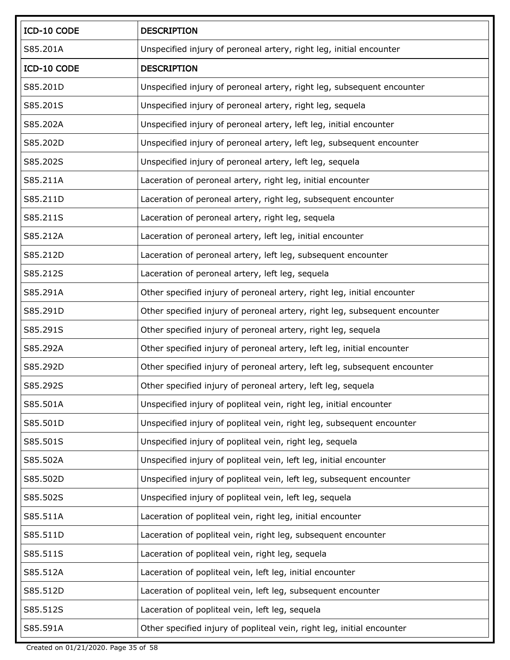| ICD-10 CODE | <b>DESCRIPTION</b>                                                         |
|-------------|----------------------------------------------------------------------------|
| S85.201A    | Unspecified injury of peroneal artery, right leg, initial encounter        |
| ICD-10 CODE | <b>DESCRIPTION</b>                                                         |
| S85.201D    | Unspecified injury of peroneal artery, right leg, subsequent encounter     |
| S85.201S    | Unspecified injury of peroneal artery, right leg, sequela                  |
| S85.202A    | Unspecified injury of peroneal artery, left leg, initial encounter         |
| S85.202D    | Unspecified injury of peroneal artery, left leg, subsequent encounter      |
| S85.202S    | Unspecified injury of peroneal artery, left leg, sequela                   |
| S85.211A    | Laceration of peroneal artery, right leg, initial encounter                |
| S85.211D    | Laceration of peroneal artery, right leg, subsequent encounter             |
| S85.211S    | Laceration of peroneal artery, right leg, sequela                          |
| S85.212A    | Laceration of peroneal artery, left leg, initial encounter                 |
| S85.212D    | Laceration of peroneal artery, left leg, subsequent encounter              |
| S85.212S    | Laceration of peroneal artery, left leg, sequela                           |
| S85.291A    | Other specified injury of peroneal artery, right leg, initial encounter    |
| S85.291D    | Other specified injury of peroneal artery, right leg, subsequent encounter |
| S85.291S    | Other specified injury of peroneal artery, right leg, sequela              |
| S85.292A    | Other specified injury of peroneal artery, left leg, initial encounter     |
| S85.292D    | Other specified injury of peroneal artery, left leg, subsequent encounter  |
| S85.292S    | Other specified injury of peroneal artery, left leg, sequela               |
| S85.501A    | Unspecified injury of popliteal vein, right leg, initial encounter         |
| S85.501D    | Unspecified injury of popliteal vein, right leg, subsequent encounter      |
| S85.501S    | Unspecified injury of popliteal vein, right leg, sequela                   |
| S85.502A    | Unspecified injury of popliteal vein, left leg, initial encounter          |
| S85.502D    | Unspecified injury of popliteal vein, left leg, subsequent encounter       |
| S85.502S    | Unspecified injury of popliteal vein, left leg, sequela                    |
| S85.511A    | Laceration of popliteal vein, right leg, initial encounter                 |
| S85.511D    | Laceration of popliteal vein, right leg, subsequent encounter              |
| S85.511S    | Laceration of popliteal vein, right leg, sequela                           |
| S85.512A    | Laceration of popliteal vein, left leg, initial encounter                  |
| S85.512D    | Laceration of popliteal vein, left leg, subsequent encounter               |
| S85.512S    | Laceration of popliteal vein, left leg, sequela                            |
| S85.591A    | Other specified injury of popliteal vein, right leg, initial encounter     |

Created on 01/21/2020. Page 35 of 58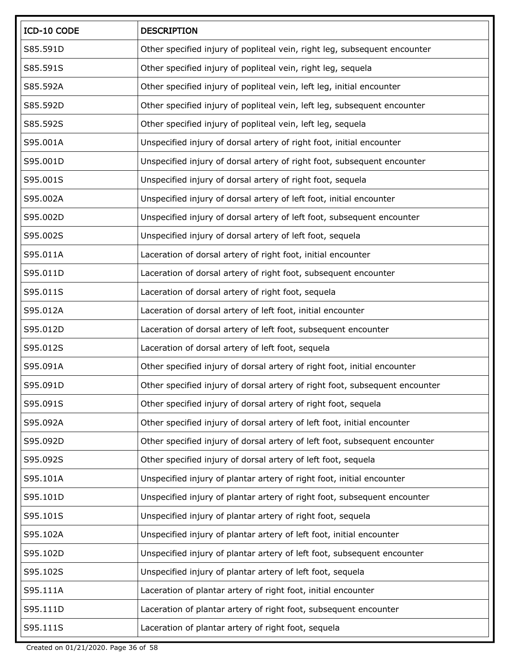| ICD-10 CODE | <b>DESCRIPTION</b>                                                          |
|-------------|-----------------------------------------------------------------------------|
| S85.591D    | Other specified injury of popliteal vein, right leg, subsequent encounter   |
| S85.591S    | Other specified injury of popliteal vein, right leg, sequela                |
| S85.592A    | Other specified injury of popliteal vein, left leg, initial encounter       |
| S85.592D    | Other specified injury of popliteal vein, left leg, subsequent encounter    |
| S85.592S    | Other specified injury of popliteal vein, left leg, sequela                 |
| S95.001A    | Unspecified injury of dorsal artery of right foot, initial encounter        |
| S95.001D    | Unspecified injury of dorsal artery of right foot, subsequent encounter     |
| S95.001S    | Unspecified injury of dorsal artery of right foot, sequela                  |
| S95.002A    | Unspecified injury of dorsal artery of left foot, initial encounter         |
| S95.002D    | Unspecified injury of dorsal artery of left foot, subsequent encounter      |
| S95.002S    | Unspecified injury of dorsal artery of left foot, sequela                   |
| S95.011A    | Laceration of dorsal artery of right foot, initial encounter                |
| S95.011D    | Laceration of dorsal artery of right foot, subsequent encounter             |
| S95.011S    | Laceration of dorsal artery of right foot, sequela                          |
| S95.012A    | Laceration of dorsal artery of left foot, initial encounter                 |
| S95.012D    | Laceration of dorsal artery of left foot, subsequent encounter              |
| S95.012S    | Laceration of dorsal artery of left foot, sequela                           |
| S95.091A    | Other specified injury of dorsal artery of right foot, initial encounter    |
| S95.091D    | Other specified injury of dorsal artery of right foot, subsequent encounter |
| S95.091S    | Other specified injury of dorsal artery of right foot, sequela              |
| S95.092A    | Other specified injury of dorsal artery of left foot, initial encounter     |
| S95.092D    | Other specified injury of dorsal artery of left foot, subsequent encounter  |
| S95.092S    | Other specified injury of dorsal artery of left foot, sequela               |
| S95.101A    | Unspecified injury of plantar artery of right foot, initial encounter       |
| S95.101D    | Unspecified injury of plantar artery of right foot, subsequent encounter    |
| S95.101S    | Unspecified injury of plantar artery of right foot, sequela                 |
| S95.102A    | Unspecified injury of plantar artery of left foot, initial encounter        |
| S95.102D    | Unspecified injury of plantar artery of left foot, subsequent encounter     |
| S95.102S    | Unspecified injury of plantar artery of left foot, sequela                  |
| S95.111A    | Laceration of plantar artery of right foot, initial encounter               |
| S95.111D    | Laceration of plantar artery of right foot, subsequent encounter            |
| S95.111S    | Laceration of plantar artery of right foot, sequela                         |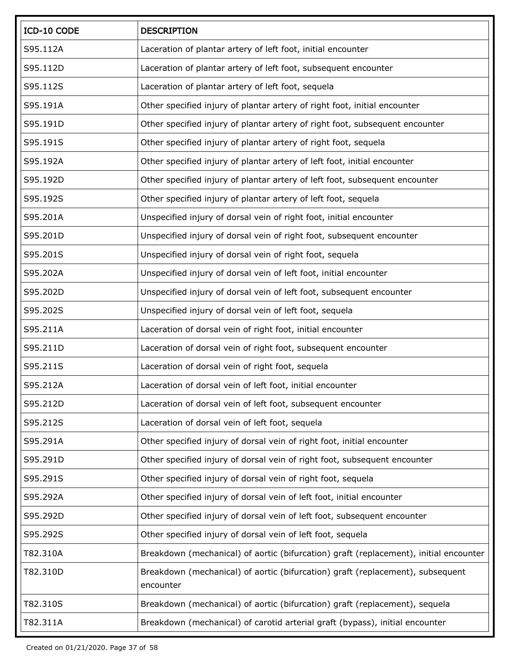| ICD-10 CODE | <b>DESCRIPTION</b>                                                                          |
|-------------|---------------------------------------------------------------------------------------------|
| S95.112A    | Laceration of plantar artery of left foot, initial encounter                                |
| S95.112D    | Laceration of plantar artery of left foot, subsequent encounter                             |
| S95.112S    | Laceration of plantar artery of left foot, sequela                                          |
| S95.191A    | Other specified injury of plantar artery of right foot, initial encounter                   |
| S95.191D    | Other specified injury of plantar artery of right foot, subsequent encounter                |
| S95.191S    | Other specified injury of plantar artery of right foot, sequela                             |
| S95.192A    | Other specified injury of plantar artery of left foot, initial encounter                    |
| S95.192D    | Other specified injury of plantar artery of left foot, subsequent encounter                 |
| S95.192S    | Other specified injury of plantar artery of left foot, sequela                              |
| S95.201A    | Unspecified injury of dorsal vein of right foot, initial encounter                          |
| S95.201D    | Unspecified injury of dorsal vein of right foot, subsequent encounter                       |
| S95.201S    | Unspecified injury of dorsal vein of right foot, sequela                                    |
| S95.202A    | Unspecified injury of dorsal vein of left foot, initial encounter                           |
| S95.202D    | Unspecified injury of dorsal vein of left foot, subsequent encounter                        |
| S95.202S    | Unspecified injury of dorsal vein of left foot, sequela                                     |
| S95.211A    | Laceration of dorsal vein of right foot, initial encounter                                  |
| S95.211D    | Laceration of dorsal vein of right foot, subsequent encounter                               |
| S95.211S    | Laceration of dorsal vein of right foot, sequela                                            |
| S95.212A    | Laceration of dorsal vein of left foot, initial encounter                                   |
| S95.212D    | Laceration of dorsal vein of left foot, subsequent encounter                                |
| S95.212S    | Laceration of dorsal vein of left foot, sequela                                             |
| S95.291A    | Other specified injury of dorsal vein of right foot, initial encounter                      |
| S95.291D    | Other specified injury of dorsal vein of right foot, subsequent encounter                   |
| S95.291S    | Other specified injury of dorsal vein of right foot, sequela                                |
| S95.292A    | Other specified injury of dorsal vein of left foot, initial encounter                       |
| S95.292D    | Other specified injury of dorsal vein of left foot, subsequent encounter                    |
| S95.292S    | Other specified injury of dorsal vein of left foot, sequela                                 |
| T82.310A    | Breakdown (mechanical) of aortic (bifurcation) graft (replacement), initial encounter       |
| T82.310D    | Breakdown (mechanical) of aortic (bifurcation) graft (replacement), subsequent<br>encounter |
| T82.310S    | Breakdown (mechanical) of aortic (bifurcation) graft (replacement), sequela                 |
| T82.311A    | Breakdown (mechanical) of carotid arterial graft (bypass), initial encounter                |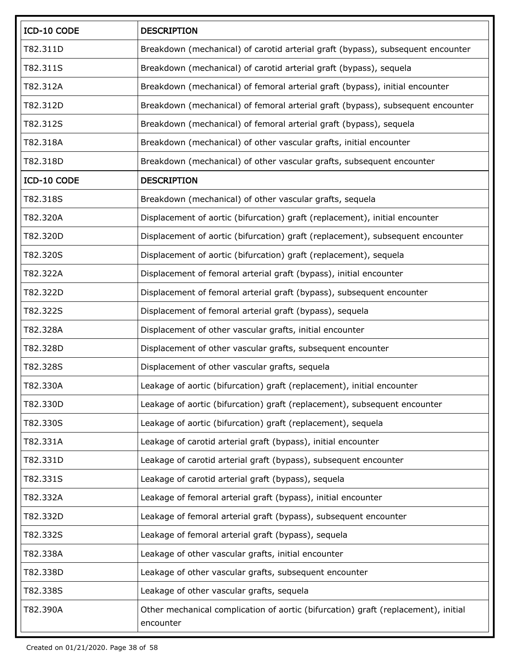| ICD-10 CODE | <b>DESCRIPTION</b>                                                                              |
|-------------|-------------------------------------------------------------------------------------------------|
| T82.311D    | Breakdown (mechanical) of carotid arterial graft (bypass), subsequent encounter                 |
| T82.311S    | Breakdown (mechanical) of carotid arterial graft (bypass), sequela                              |
| T82.312A    | Breakdown (mechanical) of femoral arterial graft (bypass), initial encounter                    |
| T82.312D    | Breakdown (mechanical) of femoral arterial graft (bypass), subsequent encounter                 |
| T82.312S    | Breakdown (mechanical) of femoral arterial graft (bypass), sequela                              |
| T82.318A    | Breakdown (mechanical) of other vascular grafts, initial encounter                              |
| T82.318D    | Breakdown (mechanical) of other vascular grafts, subsequent encounter                           |
| ICD-10 CODE | <b>DESCRIPTION</b>                                                                              |
| T82.318S    | Breakdown (mechanical) of other vascular grafts, sequela                                        |
| T82.320A    | Displacement of aortic (bifurcation) graft (replacement), initial encounter                     |
| T82.320D    | Displacement of aortic (bifurcation) graft (replacement), subsequent encounter                  |
| T82.320S    | Displacement of aortic (bifurcation) graft (replacement), sequela                               |
| T82.322A    | Displacement of femoral arterial graft (bypass), initial encounter                              |
| T82.322D    | Displacement of femoral arterial graft (bypass), subsequent encounter                           |
| T82.322S    | Displacement of femoral arterial graft (bypass), sequela                                        |
| T82.328A    | Displacement of other vascular grafts, initial encounter                                        |
| T82.328D    | Displacement of other vascular grafts, subsequent encounter                                     |
| T82.328S    | Displacement of other vascular grafts, sequela                                                  |
| T82.330A    | Leakage of aortic (bifurcation) graft (replacement), initial encounter                          |
| T82.330D    | Leakage of aortic (bifurcation) graft (replacement), subsequent encounter                       |
| T82.330S    | Leakage of aortic (bifurcation) graft (replacement), sequela                                    |
| T82.331A    | Leakage of carotid arterial graft (bypass), initial encounter                                   |
| T82.331D    | Leakage of carotid arterial graft (bypass), subsequent encounter                                |
| T82.331S    | Leakage of carotid arterial graft (bypass), sequela                                             |
| T82.332A    | Leakage of femoral arterial graft (bypass), initial encounter                                   |
| T82.332D    | Leakage of femoral arterial graft (bypass), subsequent encounter                                |
| T82.332S    | Leakage of femoral arterial graft (bypass), sequela                                             |
| T82.338A    | Leakage of other vascular grafts, initial encounter                                             |
| T82.338D    | Leakage of other vascular grafts, subsequent encounter                                          |
| T82.338S    | Leakage of other vascular grafts, sequela                                                       |
| T82.390A    | Other mechanical complication of aortic (bifurcation) graft (replacement), initial<br>encounter |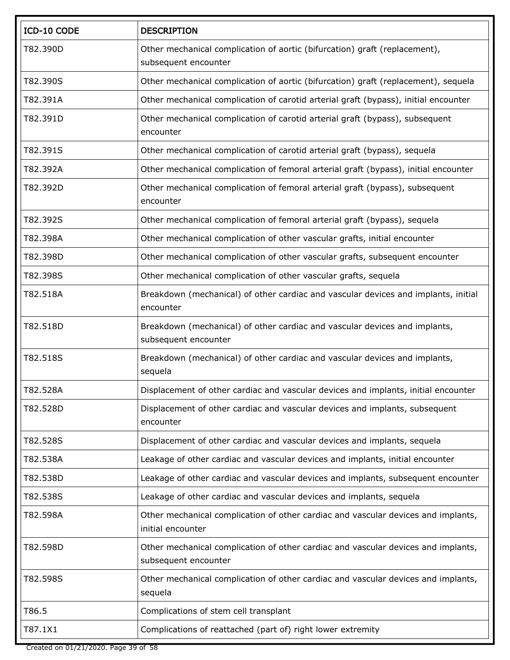| ICD-10 CODE | <b>DESCRIPTION</b>                                                                                        |
|-------------|-----------------------------------------------------------------------------------------------------------|
| T82.390D    | Other mechanical complication of aortic (bifurcation) graft (replacement),<br>subsequent encounter        |
| T82.390S    | Other mechanical complication of aortic (bifurcation) graft (replacement), sequela                        |
| T82.391A    | Other mechanical complication of carotid arterial graft (bypass), initial encounter                       |
| T82.391D    | Other mechanical complication of carotid arterial graft (bypass), subsequent<br>encounter                 |
| T82.391S    | Other mechanical complication of carotid arterial graft (bypass), sequela                                 |
| T82.392A    | Other mechanical complication of femoral arterial graft (bypass), initial encounter                       |
| T82.392D    | Other mechanical complication of femoral arterial graft (bypass), subsequent<br>encounter                 |
| T82.392S    | Other mechanical complication of femoral arterial graft (bypass), sequela                                 |
| T82.398A    | Other mechanical complication of other vascular grafts, initial encounter                                 |
| T82.398D    | Other mechanical complication of other vascular grafts, subsequent encounter                              |
| T82.398S    | Other mechanical complication of other vascular grafts, sequela                                           |
| T82.518A    | Breakdown (mechanical) of other cardiac and vascular devices and implants, initial<br>encounter           |
| T82.518D    | Breakdown (mechanical) of other cardiac and vascular devices and implants,<br>subsequent encounter        |
| T82.518S    | Breakdown (mechanical) of other cardiac and vascular devices and implants,<br>sequela                     |
| T82.528A    | Displacement of other cardiac and vascular devices and implants, initial encounter                        |
| T82.528D    | Displacement of other cardiac and vascular devices and implants, subsequent<br>encounter                  |
| T82.528S    | Displacement of other cardiac and vascular devices and implants, sequela                                  |
| T82.538A    | Leakage of other cardiac and vascular devices and implants, initial encounter                             |
| T82.538D    | Leakage of other cardiac and vascular devices and implants, subsequent encounter                          |
| T82.538S    | Leakage of other cardiac and vascular devices and implants, sequela                                       |
| T82.598A    | Other mechanical complication of other cardiac and vascular devices and implants,<br>initial encounter    |
| T82.598D    | Other mechanical complication of other cardiac and vascular devices and implants,<br>subsequent encounter |
| T82.598S    | Other mechanical complication of other cardiac and vascular devices and implants,<br>sequela              |
| T86.5       | Complications of stem cell transplant                                                                     |
| T87.1X1     | Complications of reattached (part of) right lower extremity                                               |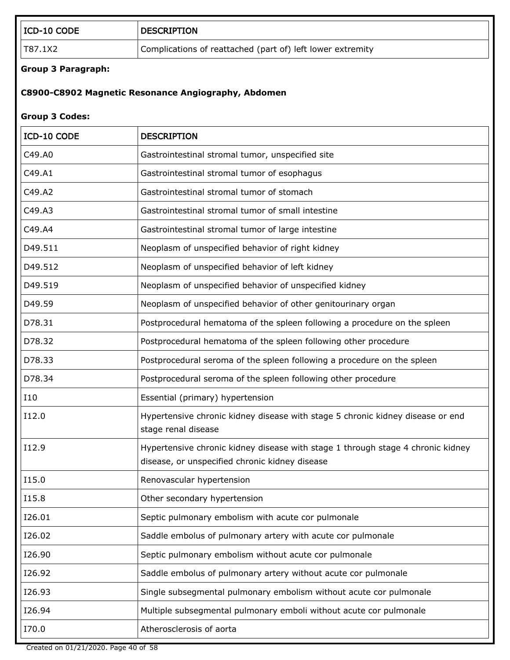| ICD-10 CODE               | <b>DESCRIPTION</b>                                                                                                                |
|---------------------------|-----------------------------------------------------------------------------------------------------------------------------------|
| T87.1X2                   | Complications of reattached (part of) left lower extremity                                                                        |
| <b>Group 3 Paragraph:</b> |                                                                                                                                   |
|                           | C8900-C8902 Magnetic Resonance Angiography, Abdomen                                                                               |
|                           |                                                                                                                                   |
| <b>Group 3 Codes:</b>     |                                                                                                                                   |
| ICD-10 CODE               | <b>DESCRIPTION</b>                                                                                                                |
| C49.A0                    | Gastrointestinal stromal tumor, unspecified site                                                                                  |
| C49.A1                    | Gastrointestinal stromal tumor of esophagus                                                                                       |
| C49.A2                    | Gastrointestinal stromal tumor of stomach                                                                                         |
| C49.A3                    | Gastrointestinal stromal tumor of small intestine                                                                                 |
| C49.A4                    | Gastrointestinal stromal tumor of large intestine                                                                                 |
| D49.511                   | Neoplasm of unspecified behavior of right kidney                                                                                  |
| D49.512                   | Neoplasm of unspecified behavior of left kidney                                                                                   |
| D49.519                   | Neoplasm of unspecified behavior of unspecified kidney                                                                            |
| D49.59                    | Neoplasm of unspecified behavior of other genitourinary organ                                                                     |
| D78.31                    | Postprocedural hematoma of the spleen following a procedure on the spleen                                                         |
| D78.32                    | Postprocedural hematoma of the spleen following other procedure                                                                   |
| D78.33                    | Postprocedural seroma of the spleen following a procedure on the spleen                                                           |
| D78.34                    | Postprocedural seroma of the spleen following other procedure                                                                     |
| I10                       | Essential (primary) hypertension                                                                                                  |
| I12.0                     | Hypertensive chronic kidney disease with stage 5 chronic kidney disease or end<br>stage renal disease                             |
| I12.9                     | Hypertensive chronic kidney disease with stage 1 through stage 4 chronic kidney<br>disease, or unspecified chronic kidney disease |
| I15.0                     | Renovascular hypertension                                                                                                         |
| I15.8                     | Other secondary hypertension                                                                                                      |
| I26.01                    | Septic pulmonary embolism with acute cor pulmonale                                                                                |
| I26.02                    | Saddle embolus of pulmonary artery with acute cor pulmonale                                                                       |
| I26.90                    | Septic pulmonary embolism without acute cor pulmonale                                                                             |
| I26.92                    | Saddle embolus of pulmonary artery without acute cor pulmonale                                                                    |
| I26.93                    | Single subsegmental pulmonary embolism without acute cor pulmonale                                                                |
| I26.94                    | Multiple subsegmental pulmonary emboli without acute cor pulmonale                                                                |
| I70.0                     | Atherosclerosis of aorta                                                                                                          |

Created on 01/21/2020. Page 40 of 58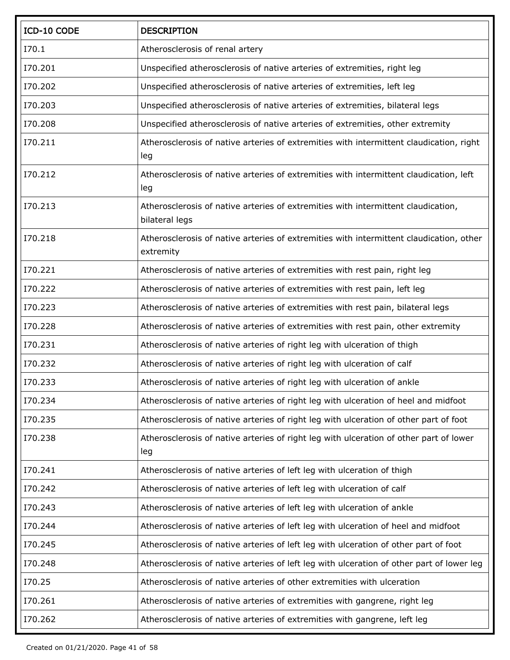| ICD-10 CODE | <b>DESCRIPTION</b>                                                                                   |
|-------------|------------------------------------------------------------------------------------------------------|
| I70.1       | Atherosclerosis of renal artery                                                                      |
| I70.201     | Unspecified atherosclerosis of native arteries of extremities, right leg                             |
| I70.202     | Unspecified atherosclerosis of native arteries of extremities, left leg                              |
| I70.203     | Unspecified atherosclerosis of native arteries of extremities, bilateral legs                        |
| I70.208     | Unspecified atherosclerosis of native arteries of extremities, other extremity                       |
| I70.211     | Atherosclerosis of native arteries of extremities with intermittent claudication, right<br>leg       |
| I70.212     | Atherosclerosis of native arteries of extremities with intermittent claudication, left<br>leg        |
| I70.213     | Atherosclerosis of native arteries of extremities with intermittent claudication,<br>bilateral legs  |
| I70.218     | Atherosclerosis of native arteries of extremities with intermittent claudication, other<br>extremity |
| I70.221     | Atherosclerosis of native arteries of extremities with rest pain, right leg                          |
| I70.222     | Atherosclerosis of native arteries of extremities with rest pain, left leg                           |
| I70.223     | Atherosclerosis of native arteries of extremities with rest pain, bilateral legs                     |
| I70.228     | Atherosclerosis of native arteries of extremities with rest pain, other extremity                    |
| I70.231     | Atherosclerosis of native arteries of right leg with ulceration of thigh                             |
| I70.232     | Atherosclerosis of native arteries of right leg with ulceration of calf                              |
| I70.233     | Atherosclerosis of native arteries of right leg with ulceration of ankle                             |
| I70.234     | Atherosclerosis of native arteries of right leg with ulceration of heel and midfoot                  |
| 170.235     | Atherosclerosis of native arteries of right leg with ulceration of other part of foot                |
| I70.238     | Atherosclerosis of native arteries of right leg with ulceration of other part of lower<br>leg        |
| I70.241     | Atherosclerosis of native arteries of left leg with ulceration of thigh                              |
| I70.242     | Atherosclerosis of native arteries of left leg with ulceration of calf                               |
| I70.243     | Atherosclerosis of native arteries of left leg with ulceration of ankle                              |
| I70.244     | Atherosclerosis of native arteries of left leg with ulceration of heel and midfoot                   |
| I70.245     | Atherosclerosis of native arteries of left leg with ulceration of other part of foot                 |
| I70.248     | Atherosclerosis of native arteries of left leg with ulceration of other part of lower leg            |
| I70.25      | Atherosclerosis of native arteries of other extremities with ulceration                              |
| I70.261     | Atherosclerosis of native arteries of extremities with gangrene, right leg                           |
| 170.262     | Atherosclerosis of native arteries of extremities with gangrene, left leg                            |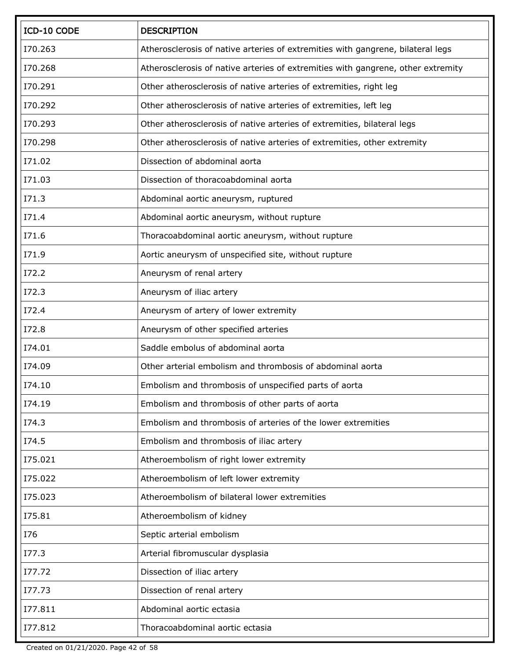| ICD-10 CODE | <b>DESCRIPTION</b>                                                               |
|-------------|----------------------------------------------------------------------------------|
| I70.263     | Atherosclerosis of native arteries of extremities with gangrene, bilateral legs  |
| I70.268     | Atherosclerosis of native arteries of extremities with gangrene, other extremity |
| I70.291     | Other atherosclerosis of native arteries of extremities, right leg               |
| I70.292     | Other atherosclerosis of native arteries of extremities, left leg                |
| I70.293     | Other atherosclerosis of native arteries of extremities, bilateral legs          |
| I70.298     | Other atherosclerosis of native arteries of extremities, other extremity         |
| I71.02      | Dissection of abdominal aorta                                                    |
| I71.03      | Dissection of thoracoabdominal aorta                                             |
| I71.3       | Abdominal aortic aneurysm, ruptured                                              |
| I71.4       | Abdominal aortic aneurysm, without rupture                                       |
| I71.6       | Thoracoabdominal aortic aneurysm, without rupture                                |
| I71.9       | Aortic aneurysm of unspecified site, without rupture                             |
| I72.2       | Aneurysm of renal artery                                                         |
| I72.3       | Aneurysm of iliac artery                                                         |
| I72.4       | Aneurysm of artery of lower extremity                                            |
| I72.8       | Aneurysm of other specified arteries                                             |
| I74.01      | Saddle embolus of abdominal aorta                                                |
| I74.09      | Other arterial embolism and thrombosis of abdominal aorta                        |
| I74.10      | Embolism and thrombosis of unspecified parts of aorta                            |
| I74.19      | Embolism and thrombosis of other parts of aorta                                  |
| I74.3       | Embolism and thrombosis of arteries of the lower extremities                     |
| I74.5       | Embolism and thrombosis of iliac artery                                          |
| I75.021     | Atheroembolism of right lower extremity                                          |
| I75.022     | Atheroembolism of left lower extremity                                           |
| I75.023     | Atheroembolism of bilateral lower extremities                                    |
| I75.81      | Atheroembolism of kidney                                                         |
| <b>I76</b>  | Septic arterial embolism                                                         |
| I77.3       | Arterial fibromuscular dysplasia                                                 |
| I77.72      | Dissection of iliac artery                                                       |
| I77.73      | Dissection of renal artery                                                       |
| I77.811     | Abdominal aortic ectasia                                                         |
| I77.812     | Thoracoabdominal aortic ectasia                                                  |

Created on 01/21/2020. Page 42 of 58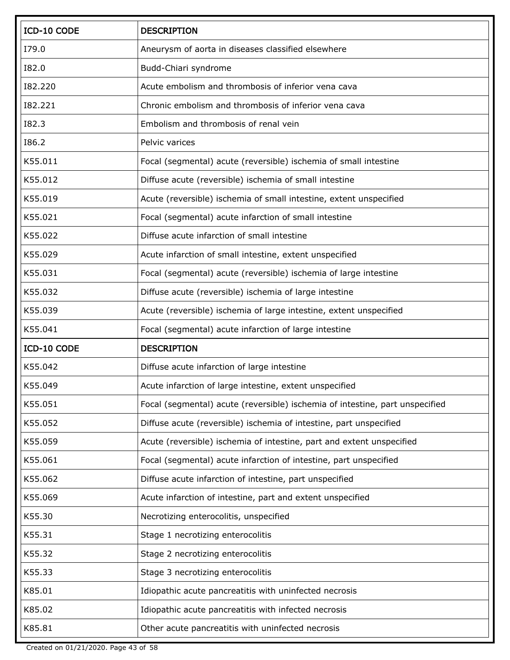| ICD-10 CODE  | <b>DESCRIPTION</b>                                                           |
|--------------|------------------------------------------------------------------------------|
| I79.0        | Aneurysm of aorta in diseases classified elsewhere                           |
| <b>I82.0</b> | Budd-Chiari syndrome                                                         |
| 182.220      | Acute embolism and thrombosis of inferior vena cava                          |
| 182.221      | Chronic embolism and thrombosis of inferior vena cava                        |
| <b>I82.3</b> | Embolism and thrombosis of renal vein                                        |
| I86.2        | Pelvic varices                                                               |
| K55.011      | Focal (segmental) acute (reversible) ischemia of small intestine             |
| K55.012      | Diffuse acute (reversible) ischemia of small intestine                       |
| K55.019      | Acute (reversible) ischemia of small intestine, extent unspecified           |
| K55.021      | Focal (segmental) acute infarction of small intestine                        |
| K55.022      | Diffuse acute infarction of small intestine                                  |
| K55.029      | Acute infarction of small intestine, extent unspecified                      |
| K55.031      | Focal (segmental) acute (reversible) ischemia of large intestine             |
| K55.032      | Diffuse acute (reversible) ischemia of large intestine                       |
| K55.039      | Acute (reversible) ischemia of large intestine, extent unspecified           |
| K55.041      | Focal (segmental) acute infarction of large intestine                        |
| ICD-10 CODE  | <b>DESCRIPTION</b>                                                           |
| K55.042      | Diffuse acute infarction of large intestine                                  |
| K55.049      | Acute infarction of large intestine, extent unspecified                      |
| K55.051      | Focal (segmental) acute (reversible) ischemia of intestine, part unspecified |
| K55.052      | Diffuse acute (reversible) ischemia of intestine, part unspecified           |
| K55.059      | Acute (reversible) ischemia of intestine, part and extent unspecified        |
| K55.061      | Focal (segmental) acute infarction of intestine, part unspecified            |
| K55.062      | Diffuse acute infarction of intestine, part unspecified                      |
| K55.069      | Acute infarction of intestine, part and extent unspecified                   |
| K55.30       | Necrotizing enterocolitis, unspecified                                       |
| K55.31       | Stage 1 necrotizing enterocolitis                                            |
| K55.32       | Stage 2 necrotizing enterocolitis                                            |
| K55.33       | Stage 3 necrotizing enterocolitis                                            |
| K85.01       | Idiopathic acute pancreatitis with uninfected necrosis                       |
| K85.02       | Idiopathic acute pancreatitis with infected necrosis                         |
| K85.81       | Other acute pancreatitis with uninfected necrosis                            |

Created on 01/21/2020. Page 43 of 58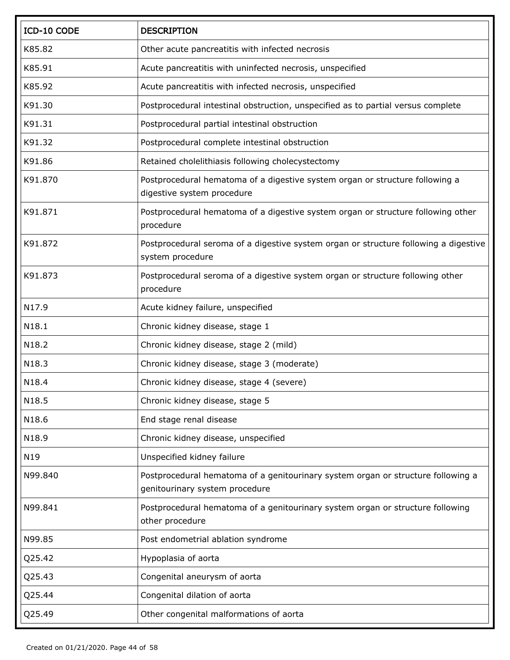| ICD-10 CODE | <b>DESCRIPTION</b>                                                                                                 |
|-------------|--------------------------------------------------------------------------------------------------------------------|
| K85.82      | Other acute pancreatitis with infected necrosis                                                                    |
| K85.91      | Acute pancreatitis with uninfected necrosis, unspecified                                                           |
| K85.92      | Acute pancreatitis with infected necrosis, unspecified                                                             |
| K91.30      | Postprocedural intestinal obstruction, unspecified as to partial versus complete                                   |
| K91.31      | Postprocedural partial intestinal obstruction                                                                      |
| K91.32      | Postprocedural complete intestinal obstruction                                                                     |
| K91.86      | Retained cholelithiasis following cholecystectomy                                                                  |
| K91.870     | Postprocedural hematoma of a digestive system organ or structure following a<br>digestive system procedure         |
| K91.871     | Postprocedural hematoma of a digestive system organ or structure following other<br>procedure                      |
| K91.872     | Postprocedural seroma of a digestive system organ or structure following a digestive<br>system procedure           |
| K91.873     | Postprocedural seroma of a digestive system organ or structure following other<br>procedure                        |
| N17.9       | Acute kidney failure, unspecified                                                                                  |
| N18.1       | Chronic kidney disease, stage 1                                                                                    |
| N18.2       | Chronic kidney disease, stage 2 (mild)                                                                             |
| N18.3       | Chronic kidney disease, stage 3 (moderate)                                                                         |
| N18.4       | Chronic kidney disease, stage 4 (severe)                                                                           |
| N18.5       | Chronic kidney disease, stage 5                                                                                    |
| N18.6       | End stage renal disease                                                                                            |
| N18.9       | Chronic kidney disease, unspecified                                                                                |
| N19         | Unspecified kidney failure                                                                                         |
| N99.840     | Postprocedural hematoma of a genitourinary system organ or structure following a<br>genitourinary system procedure |
| N99.841     | Postprocedural hematoma of a genitourinary system organ or structure following<br>other procedure                  |
| N99.85      | Post endometrial ablation syndrome                                                                                 |
| Q25.42      | Hypoplasia of aorta                                                                                                |
| Q25.43      | Congenital aneurysm of aorta                                                                                       |
| Q25.44      | Congenital dilation of aorta                                                                                       |
| Q25.49      | Other congenital malformations of aorta                                                                            |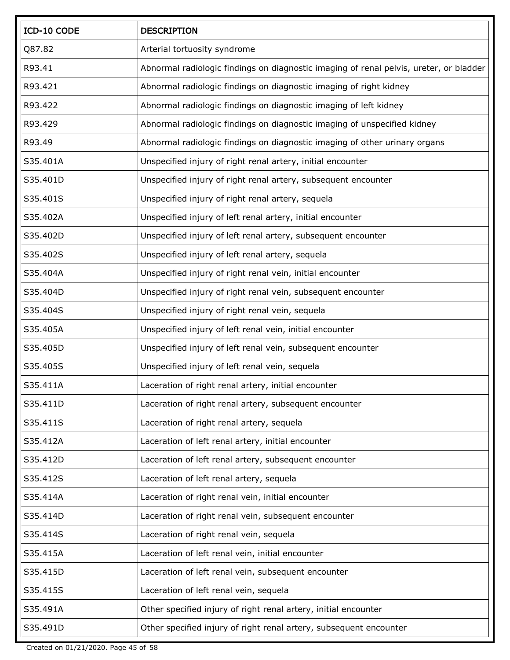| ICD-10 CODE | <b>DESCRIPTION</b>                                                                     |
|-------------|----------------------------------------------------------------------------------------|
| Q87.82      | Arterial tortuosity syndrome                                                           |
| R93.41      | Abnormal radiologic findings on diagnostic imaging of renal pelvis, ureter, or bladder |
| R93.421     | Abnormal radiologic findings on diagnostic imaging of right kidney                     |
| R93.422     | Abnormal radiologic findings on diagnostic imaging of left kidney                      |
| R93.429     | Abnormal radiologic findings on diagnostic imaging of unspecified kidney               |
| R93.49      | Abnormal radiologic findings on diagnostic imaging of other urinary organs             |
| S35.401A    | Unspecified injury of right renal artery, initial encounter                            |
| S35.401D    | Unspecified injury of right renal artery, subsequent encounter                         |
| S35.401S    | Unspecified injury of right renal artery, sequela                                      |
| S35.402A    | Unspecified injury of left renal artery, initial encounter                             |
| S35.402D    | Unspecified injury of left renal artery, subsequent encounter                          |
| S35.402S    | Unspecified injury of left renal artery, sequela                                       |
| S35.404A    | Unspecified injury of right renal vein, initial encounter                              |
| S35.404D    | Unspecified injury of right renal vein, subsequent encounter                           |
| S35.404S    | Unspecified injury of right renal vein, sequela                                        |
| S35.405A    | Unspecified injury of left renal vein, initial encounter                               |
| S35.405D    | Unspecified injury of left renal vein, subsequent encounter                            |
| S35.405S    | Unspecified injury of left renal vein, sequela                                         |
| S35.411A    | Laceration of right renal artery, initial encounter                                    |
| S35.411D    | Laceration of right renal artery, subsequent encounter                                 |
| S35.411S    | Laceration of right renal artery, sequela                                              |
| S35.412A    | Laceration of left renal artery, initial encounter                                     |
| S35.412D    | Laceration of left renal artery, subsequent encounter                                  |
| S35.412S    | Laceration of left renal artery, sequela                                               |
| S35.414A    | Laceration of right renal vein, initial encounter                                      |
| S35.414D    | Laceration of right renal vein, subsequent encounter                                   |
| S35.414S    | Laceration of right renal vein, sequela                                                |
| S35.415A    | Laceration of left renal vein, initial encounter                                       |
| S35.415D    | Laceration of left renal vein, subsequent encounter                                    |
| S35.415S    | Laceration of left renal vein, sequela                                                 |
| S35.491A    | Other specified injury of right renal artery, initial encounter                        |
| S35.491D    | Other specified injury of right renal artery, subsequent encounter                     |

Created on 01/21/2020. Page 45 of 58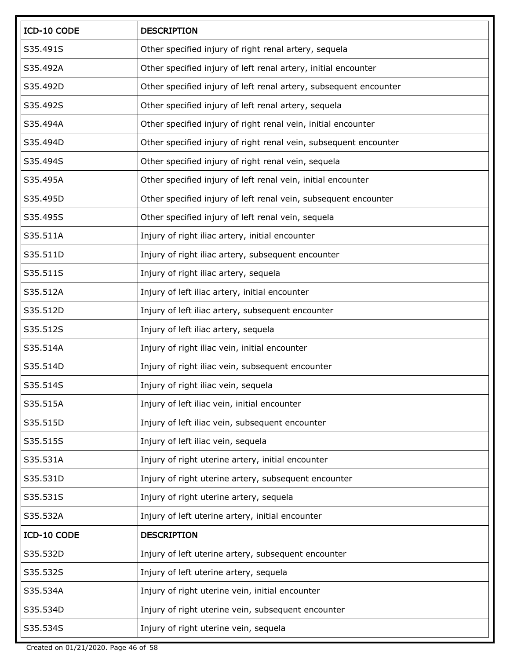| ICD-10 CODE | <b>DESCRIPTION</b>                                                |
|-------------|-------------------------------------------------------------------|
| S35.491S    | Other specified injury of right renal artery, sequela             |
| S35.492A    | Other specified injury of left renal artery, initial encounter    |
| S35.492D    | Other specified injury of left renal artery, subsequent encounter |
| S35.492S    | Other specified injury of left renal artery, sequela              |
| S35.494A    | Other specified injury of right renal vein, initial encounter     |
| S35.494D    | Other specified injury of right renal vein, subsequent encounter  |
| S35.494S    | Other specified injury of right renal vein, sequela               |
| S35.495A    | Other specified injury of left renal vein, initial encounter      |
| S35.495D    | Other specified injury of left renal vein, subsequent encounter   |
| S35.495S    | Other specified injury of left renal vein, sequela                |
| S35.511A    | Injury of right iliac artery, initial encounter                   |
| S35.511D    | Injury of right iliac artery, subsequent encounter                |
| S35.511S    | Injury of right iliac artery, sequela                             |
| S35.512A    | Injury of left iliac artery, initial encounter                    |
| S35.512D    | Injury of left iliac artery, subsequent encounter                 |
| S35.512S    | Injury of left iliac artery, sequela                              |
| S35.514A    | Injury of right iliac vein, initial encounter                     |
| S35.514D    | Injury of right iliac vein, subsequent encounter                  |
| S35.514S    | Injury of right iliac vein, sequela                               |
| S35.515A    | Injury of left iliac vein, initial encounter                      |
| S35.515D    | Injury of left iliac vein, subsequent encounter                   |
| S35.515S    | Injury of left iliac vein, sequela                                |
| S35.531A    | Injury of right uterine artery, initial encounter                 |
| S35.531D    | Injury of right uterine artery, subsequent encounter              |
| S35.531S    | Injury of right uterine artery, sequela                           |
| S35.532A    | Injury of left uterine artery, initial encounter                  |
| ICD-10 CODE | <b>DESCRIPTION</b>                                                |
| S35.532D    | Injury of left uterine artery, subsequent encounter               |
| S35.532S    | Injury of left uterine artery, sequela                            |
| S35.534A    | Injury of right uterine vein, initial encounter                   |
| S35.534D    | Injury of right uterine vein, subsequent encounter                |
| S35.534S    | Injury of right uterine vein, sequela                             |

Created on 01/21/2020. Page 46 of 58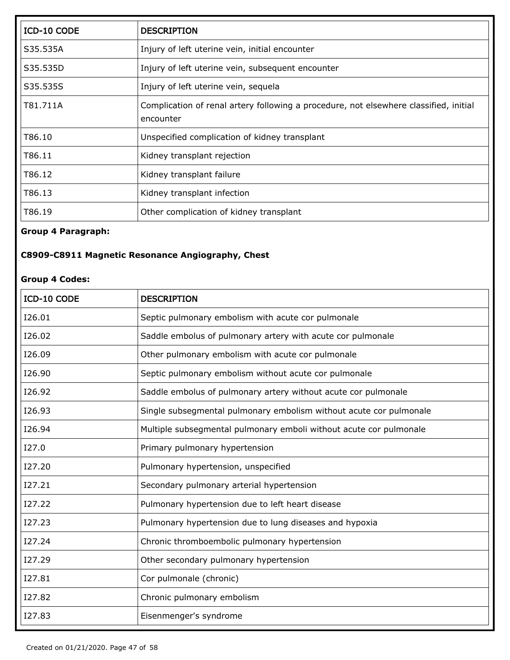| ICD-10 CODE | <b>DESCRIPTION</b>                                                                                 |
|-------------|----------------------------------------------------------------------------------------------------|
| S35.535A    | Injury of left uterine vein, initial encounter                                                     |
| S35.535D    | Injury of left uterine vein, subsequent encounter                                                  |
| S35.535S    | Injury of left uterine vein, sequela                                                               |
| T81.711A    | Complication of renal artery following a procedure, not elsewhere classified, initial<br>encounter |
| T86.10      | Unspecified complication of kidney transplant                                                      |
| T86.11      | Kidney transplant rejection                                                                        |
| T86.12      | Kidney transplant failure                                                                          |
| T86.13      | Kidney transplant infection                                                                        |
| T86.19      | Other complication of kidney transplant                                                            |

## **Group 4 Paragraph:**

## **C8909-C8911 Magnetic Resonance Angiography, Chest**

#### **Group 4 Codes:**

| <b>ICD-10 CODE</b> | <b>DESCRIPTION</b>                                                 |
|--------------------|--------------------------------------------------------------------|
| I26.01             | Septic pulmonary embolism with acute cor pulmonale                 |
| I26.02             | Saddle embolus of pulmonary artery with acute cor pulmonale        |
| I26.09             | Other pulmonary embolism with acute cor pulmonale                  |
| I26.90             | Septic pulmonary embolism without acute cor pulmonale              |
| I26.92             | Saddle embolus of pulmonary artery without acute cor pulmonale     |
| I26.93             | Single subsegmental pulmonary embolism without acute cor pulmonale |
| I26.94             | Multiple subsegmental pulmonary emboli without acute cor pulmonale |
| I27.0              | Primary pulmonary hypertension                                     |
| 127.20             | Pulmonary hypertension, unspecified                                |
| 127.21             | Secondary pulmonary arterial hypertension                          |
| 127.22             | Pulmonary hypertension due to left heart disease                   |
| I27.23             | Pulmonary hypertension due to lung diseases and hypoxia            |
| I27.24             | Chronic thromboembolic pulmonary hypertension                      |
| I27.29             | Other secondary pulmonary hypertension                             |
| I27.81             | Cor pulmonale (chronic)                                            |
| I27.82             | Chronic pulmonary embolism                                         |
| I27.83             | Eisenmenger's syndrome                                             |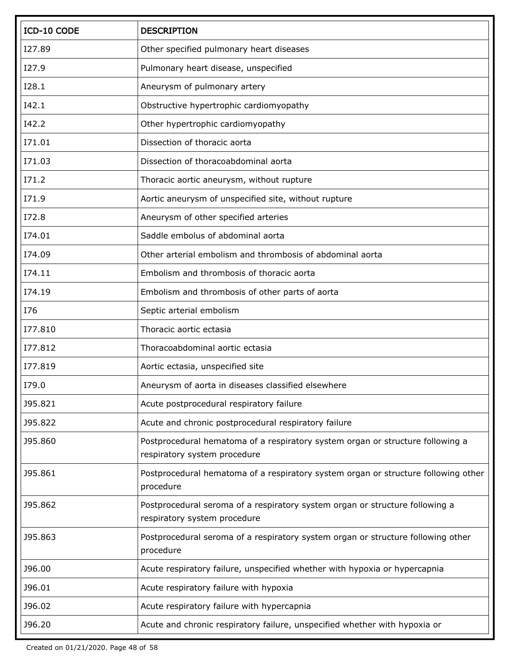| ICD-10 CODE  | <b>DESCRIPTION</b>                                                                                             |
|--------------|----------------------------------------------------------------------------------------------------------------|
| I27.89       | Other specified pulmonary heart diseases                                                                       |
| I27.9        | Pulmonary heart disease, unspecified                                                                           |
| I28.1        | Aneurysm of pulmonary artery                                                                                   |
| I42.1        | Obstructive hypertrophic cardiomyopathy                                                                        |
| I42.2        | Other hypertrophic cardiomyopathy                                                                              |
| I71.01       | Dissection of thoracic aorta                                                                                   |
| I71.03       | Dissection of thoracoabdominal aorta                                                                           |
| <b>I71.2</b> | Thoracic aortic aneurysm, without rupture                                                                      |
| I71.9        | Aortic aneurysm of unspecified site, without rupture                                                           |
| I72.8        | Aneurysm of other specified arteries                                                                           |
| I74.01       | Saddle embolus of abdominal aorta                                                                              |
| I74.09       | Other arterial embolism and thrombosis of abdominal aorta                                                      |
| I74.11       | Embolism and thrombosis of thoracic aorta                                                                      |
| I74.19       | Embolism and thrombosis of other parts of aorta                                                                |
| <b>I76</b>   | Septic arterial embolism                                                                                       |
| I77.810      | Thoracic aortic ectasia                                                                                        |
| I77.812      | Thoracoabdominal aortic ectasia                                                                                |
| I77.819      | Aortic ectasia, unspecified site                                                                               |
| I79.0        | Aneurysm of aorta in diseases classified elsewhere                                                             |
| J95.821      | Acute postprocedural respiratory failure                                                                       |
| J95.822      | Acute and chronic postprocedural respiratory failure                                                           |
| J95.860      | Postprocedural hematoma of a respiratory system organ or structure following a<br>respiratory system procedure |
| J95.861      | Postprocedural hematoma of a respiratory system organ or structure following other<br>procedure                |
| J95.862      | Postprocedural seroma of a respiratory system organ or structure following a<br>respiratory system procedure   |
| J95.863      | Postprocedural seroma of a respiratory system organ or structure following other<br>procedure                  |
| J96.00       | Acute respiratory failure, unspecified whether with hypoxia or hypercapnia                                     |
| J96.01       | Acute respiratory failure with hypoxia                                                                         |
| J96.02       | Acute respiratory failure with hypercapnia                                                                     |
| J96.20       | Acute and chronic respiratory failure, unspecified whether with hypoxia or                                     |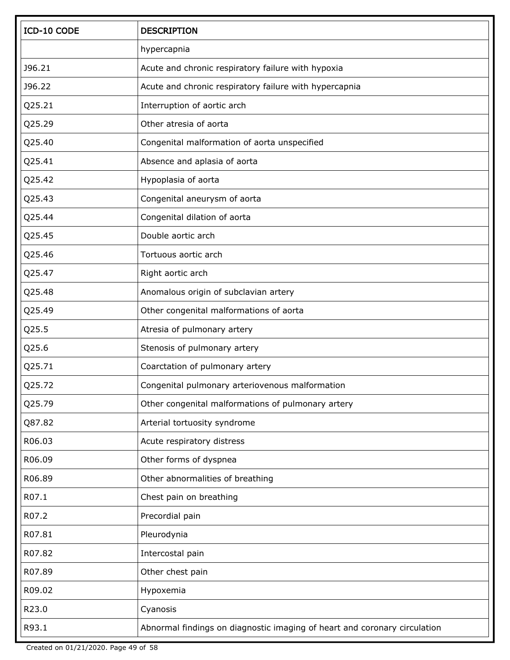| ICD-10 CODE | <b>DESCRIPTION</b>                                                        |
|-------------|---------------------------------------------------------------------------|
|             | hypercapnia                                                               |
| J96.21      | Acute and chronic respiratory failure with hypoxia                        |
| J96.22      | Acute and chronic respiratory failure with hypercapnia                    |
| Q25.21      | Interruption of aortic arch                                               |
| Q25.29      | Other atresia of aorta                                                    |
| Q25.40      | Congenital malformation of aorta unspecified                              |
| Q25.41      | Absence and aplasia of aorta                                              |
| Q25.42      | Hypoplasia of aorta                                                       |
| Q25.43      | Congenital aneurysm of aorta                                              |
| Q25.44      | Congenital dilation of aorta                                              |
| Q25.45      | Double aortic arch                                                        |
| Q25.46      | Tortuous aortic arch                                                      |
| Q25.47      | Right aortic arch                                                         |
| Q25.48      | Anomalous origin of subclavian artery                                     |
| Q25.49      | Other congenital malformations of aorta                                   |
| Q25.5       | Atresia of pulmonary artery                                               |
| Q25.6       | Stenosis of pulmonary artery                                              |
| Q25.71      | Coarctation of pulmonary artery                                           |
| Q25.72      | Congenital pulmonary arteriovenous malformation                           |
| Q25.79      | Other congenital malformations of pulmonary artery                        |
| Q87.82      | Arterial tortuosity syndrome                                              |
| R06.03      | Acute respiratory distress                                                |
| R06.09      | Other forms of dyspnea                                                    |
| R06.89      | Other abnormalities of breathing                                          |
| R07.1       | Chest pain on breathing                                                   |
| R07.2       | Precordial pain                                                           |
| R07.81      | Pleurodynia                                                               |
| R07.82      | Intercostal pain                                                          |
| R07.89      | Other chest pain                                                          |
| R09.02      | Hypoxemia                                                                 |
| R23.0       | Cyanosis                                                                  |
| R93.1       | Abnormal findings on diagnostic imaging of heart and coronary circulation |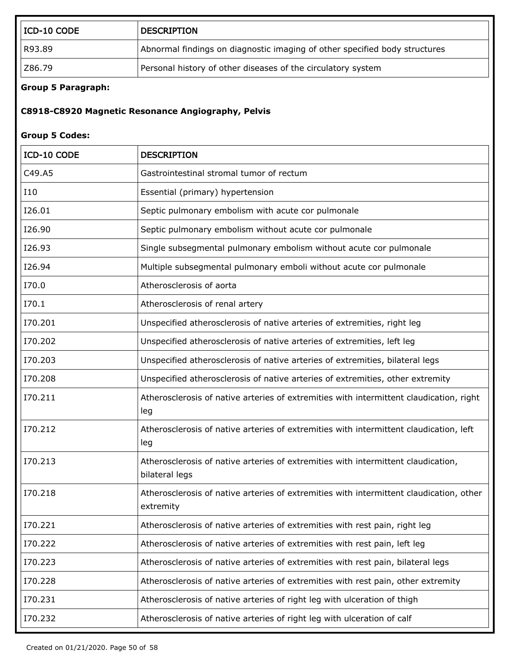| $\vert$ ICD-10 CODE | <b>DESCRIPTION</b>                                                         |
|---------------------|----------------------------------------------------------------------------|
| R93.89              | Abnormal findings on diagnostic imaging of other specified body structures |
| Z86.79              | Personal history of other diseases of the circulatory system               |

### **Group 5 Paragraph:**

## **C8918-C8920 Magnetic Resonance Angiography, Pelvis**

#### **Group 5 Codes:**

| ICD-10 CODE | <b>DESCRIPTION</b>                                                                                   |
|-------------|------------------------------------------------------------------------------------------------------|
| C49.A5      | Gastrointestinal stromal tumor of rectum                                                             |
| <b>I10</b>  | Essential (primary) hypertension                                                                     |
| I26.01      | Septic pulmonary embolism with acute cor pulmonale                                                   |
| I26.90      | Septic pulmonary embolism without acute cor pulmonale                                                |
| I26.93      | Single subsegmental pulmonary embolism without acute cor pulmonale                                   |
| I26.94      | Multiple subsegmental pulmonary emboli without acute cor pulmonale                                   |
| I70.0       | Atherosclerosis of aorta                                                                             |
| I70.1       | Atherosclerosis of renal artery                                                                      |
| I70.201     | Unspecified atherosclerosis of native arteries of extremities, right leg                             |
| I70.202     | Unspecified atherosclerosis of native arteries of extremities, left leg                              |
| I70.203     | Unspecified atherosclerosis of native arteries of extremities, bilateral legs                        |
| I70.208     | Unspecified atherosclerosis of native arteries of extremities, other extremity                       |
| I70.211     | Atherosclerosis of native arteries of extremities with intermittent claudication, right<br>leg       |
| I70.212     | Atherosclerosis of native arteries of extremities with intermittent claudication, left<br>leg        |
| I70.213     | Atherosclerosis of native arteries of extremities with intermittent claudication,<br>bilateral legs  |
| I70.218     | Atherosclerosis of native arteries of extremities with intermittent claudication, other<br>extremity |
| I70.221     | Atherosclerosis of native arteries of extremities with rest pain, right leg                          |
| I70.222     | Atherosclerosis of native arteries of extremities with rest pain, left leg                           |
| I70.223     | Atherosclerosis of native arteries of extremities with rest pain, bilateral legs                     |
| I70.228     | Atherosclerosis of native arteries of extremities with rest pain, other extremity                    |
| I70.231     | Atherosclerosis of native arteries of right leg with ulceration of thigh                             |
| I70.232     | Atherosclerosis of native arteries of right leg with ulceration of calf                              |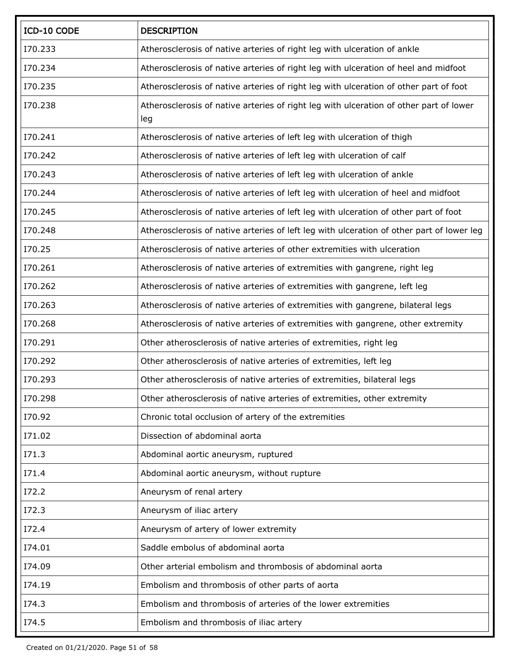| ICD-10 CODE | <b>DESCRIPTION</b>                                                                        |
|-------------|-------------------------------------------------------------------------------------------|
| I70.233     | Atherosclerosis of native arteries of right leg with ulceration of ankle                  |
| I70.234     | Atherosclerosis of native arteries of right leg with ulceration of heel and midfoot       |
| I70.235     | Atherosclerosis of native arteries of right leg with ulceration of other part of foot     |
| I70.238     | Atherosclerosis of native arteries of right leg with ulceration of other part of lower    |
|             | leg                                                                                       |
| I70.241     | Atherosclerosis of native arteries of left leg with ulceration of thigh                   |
| I70.242     | Atherosclerosis of native arteries of left leg with ulceration of calf                    |
| I70.243     | Atherosclerosis of native arteries of left leg with ulceration of ankle                   |
| I70.244     | Atherosclerosis of native arteries of left leg with ulceration of heel and midfoot        |
| I70.245     | Atherosclerosis of native arteries of left leg with ulceration of other part of foot      |
| I70.248     | Atherosclerosis of native arteries of left leg with ulceration of other part of lower leg |
| I70.25      | Atherosclerosis of native arteries of other extremities with ulceration                   |
| I70.261     | Atherosclerosis of native arteries of extremities with gangrene, right leg                |
| I70.262     | Atherosclerosis of native arteries of extremities with gangrene, left leg                 |
| I70.263     | Atherosclerosis of native arteries of extremities with gangrene, bilateral legs           |
| I70.268     | Atherosclerosis of native arteries of extremities with gangrene, other extremity          |
| I70.291     | Other atherosclerosis of native arteries of extremities, right leg                        |
| I70.292     | Other atherosclerosis of native arteries of extremities, left leg                         |
| I70.293     | Other atherosclerosis of native arteries of extremities, bilateral legs                   |
| I70.298     | Other atherosclerosis of native arteries of extremities, other extremity                  |
| I70.92      | Chronic total occlusion of artery of the extremities                                      |
| I71.02      | Dissection of abdominal aorta                                                             |
| I71.3       | Abdominal aortic aneurysm, ruptured                                                       |
| I71.4       | Abdominal aortic aneurysm, without rupture                                                |
| I72.2       | Aneurysm of renal artery                                                                  |
| I72.3       | Aneurysm of iliac artery                                                                  |
| I72.4       | Aneurysm of artery of lower extremity                                                     |
| I74.01      | Saddle embolus of abdominal aorta                                                         |
| I74.09      | Other arterial embolism and thrombosis of abdominal aorta                                 |
| I74.19      | Embolism and thrombosis of other parts of aorta                                           |
| I74.3       | Embolism and thrombosis of arteries of the lower extremities                              |
| I74.5       | Embolism and thrombosis of iliac artery                                                   |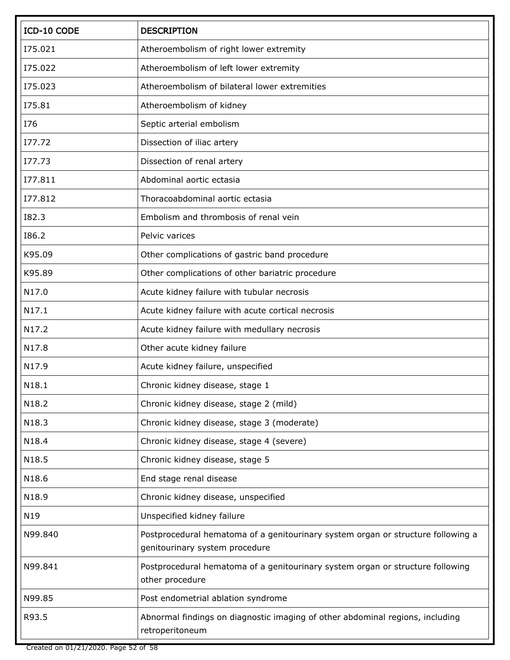| ICD-10 CODE  | <b>DESCRIPTION</b>                                                                                                 |
|--------------|--------------------------------------------------------------------------------------------------------------------|
| I75.021      | Atheroembolism of right lower extremity                                                                            |
| I75.022      | Atheroembolism of left lower extremity                                                                             |
| I75.023      | Atheroembolism of bilateral lower extremities                                                                      |
| I75.81       | Atheroembolism of kidney                                                                                           |
| I76          | Septic arterial embolism                                                                                           |
| 177.72       | Dissection of iliac artery                                                                                         |
| 177.73       | Dissection of renal artery                                                                                         |
| I77.811      | Abdominal aortic ectasia                                                                                           |
| I77.812      | Thoracoabdominal aortic ectasia                                                                                    |
| <b>I82.3</b> | Embolism and thrombosis of renal vein                                                                              |
| I86.2        | Pelvic varices                                                                                                     |
| K95.09       | Other complications of gastric band procedure                                                                      |
| K95.89       | Other complications of other bariatric procedure                                                                   |
| N17.0        | Acute kidney failure with tubular necrosis                                                                         |
| N17.1        | Acute kidney failure with acute cortical necrosis                                                                  |
| N17.2        | Acute kidney failure with medullary necrosis                                                                       |
| N17.8        | Other acute kidney failure                                                                                         |
| N17.9        | Acute kidney failure, unspecified                                                                                  |
| N18.1        | Chronic kidney disease, stage 1                                                                                    |
| N18.2        | Chronic kidney disease, stage 2 (mild)                                                                             |
| N18.3        | Chronic kidney disease, stage 3 (moderate)                                                                         |
| N18.4        | Chronic kidney disease, stage 4 (severe)                                                                           |
| N18.5        | Chronic kidney disease, stage 5                                                                                    |
| N18.6        | End stage renal disease                                                                                            |
| N18.9        | Chronic kidney disease, unspecified                                                                                |
| N19          | Unspecified kidney failure                                                                                         |
| N99.840      | Postprocedural hematoma of a genitourinary system organ or structure following a<br>genitourinary system procedure |
| N99.841      | Postprocedural hematoma of a genitourinary system organ or structure following<br>other procedure                  |
| N99.85       | Post endometrial ablation syndrome                                                                                 |
| R93.5        | Abnormal findings on diagnostic imaging of other abdominal regions, including<br>retroperitoneum                   |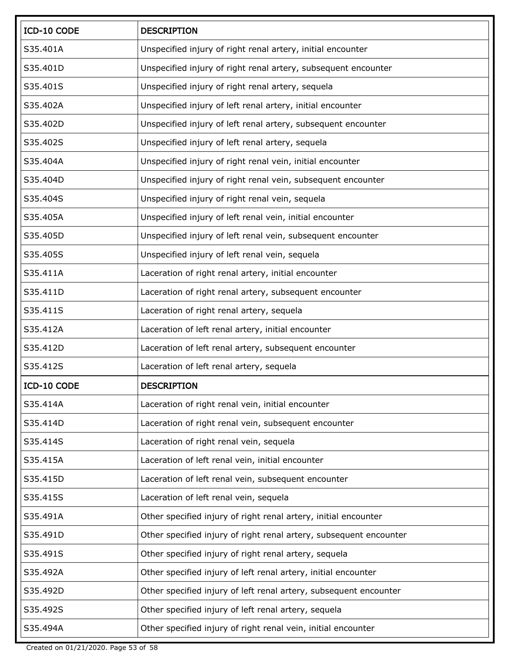| ICD-10 CODE | <b>DESCRIPTION</b>                                                 |
|-------------|--------------------------------------------------------------------|
| S35.401A    | Unspecified injury of right renal artery, initial encounter        |
| S35.401D    | Unspecified injury of right renal artery, subsequent encounter     |
| S35.401S    | Unspecified injury of right renal artery, sequela                  |
| S35.402A    | Unspecified injury of left renal artery, initial encounter         |
| S35.402D    | Unspecified injury of left renal artery, subsequent encounter      |
| S35.402S    | Unspecified injury of left renal artery, sequela                   |
| S35.404A    | Unspecified injury of right renal vein, initial encounter          |
| S35.404D    | Unspecified injury of right renal vein, subsequent encounter       |
| S35.404S    | Unspecified injury of right renal vein, sequela                    |
| S35,405A    | Unspecified injury of left renal vein, initial encounter           |
| S35.405D    | Unspecified injury of left renal vein, subsequent encounter        |
| S35.405S    | Unspecified injury of left renal vein, sequela                     |
| S35.411A    | Laceration of right renal artery, initial encounter                |
| S35.411D    | Laceration of right renal artery, subsequent encounter             |
| S35.411S    | Laceration of right renal artery, sequela                          |
| S35.412A    | Laceration of left renal artery, initial encounter                 |
| S35.412D    | Laceration of left renal artery, subsequent encounter              |
| S35.412S    | Laceration of left renal artery, sequela                           |
| ICD-10 CODE | <b>DESCRIPTION</b>                                                 |
| S35.414A    | Laceration of right renal vein, initial encounter                  |
| S35.414D    | Laceration of right renal vein, subsequent encounter               |
| S35.414S    | Laceration of right renal vein, sequela                            |
| S35.415A    | Laceration of left renal vein, initial encounter                   |
| S35.415D    | Laceration of left renal vein, subsequent encounter                |
| S35.415S    | Laceration of left renal vein, sequela                             |
| S35.491A    | Other specified injury of right renal artery, initial encounter    |
| S35.491D    | Other specified injury of right renal artery, subsequent encounter |
| S35.491S    | Other specified injury of right renal artery, sequela              |
| S35.492A    | Other specified injury of left renal artery, initial encounter     |
| S35.492D    | Other specified injury of left renal artery, subsequent encounter  |
| S35.492S    | Other specified injury of left renal artery, sequela               |
| S35.494A    | Other specified injury of right renal vein, initial encounter      |

Created on 01/21/2020. Page 53 of 58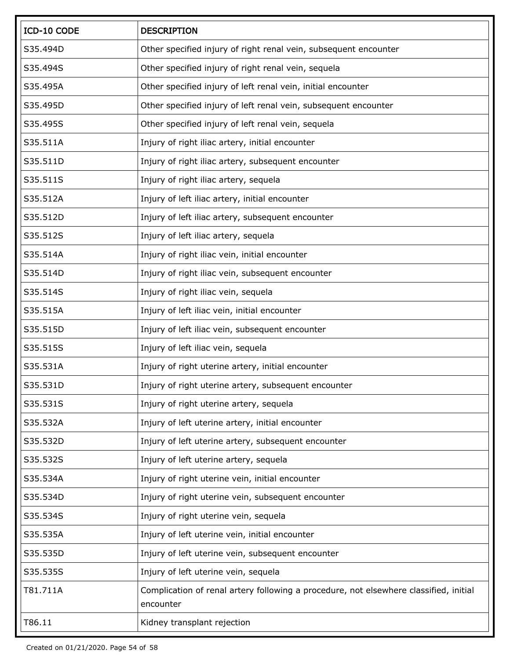| ICD-10 CODE | <b>DESCRIPTION</b>                                                                                 |
|-------------|----------------------------------------------------------------------------------------------------|
| S35.494D    | Other specified injury of right renal vein, subsequent encounter                                   |
| S35.494S    | Other specified injury of right renal vein, sequela                                                |
| S35.495A    | Other specified injury of left renal vein, initial encounter                                       |
| S35.495D    | Other specified injury of left renal vein, subsequent encounter                                    |
| S35.495S    | Other specified injury of left renal vein, sequela                                                 |
| S35.511A    | Injury of right iliac artery, initial encounter                                                    |
| S35.511D    | Injury of right iliac artery, subsequent encounter                                                 |
| S35.511S    | Injury of right iliac artery, sequela                                                              |
| S35.512A    | Injury of left iliac artery, initial encounter                                                     |
| S35.512D    | Injury of left iliac artery, subsequent encounter                                                  |
| S35.512S    | Injury of left iliac artery, sequela                                                               |
| S35.514A    | Injury of right iliac vein, initial encounter                                                      |
| S35.514D    | Injury of right iliac vein, subsequent encounter                                                   |
| S35.514S    | Injury of right iliac vein, sequela                                                                |
| S35.515A    | Injury of left iliac vein, initial encounter                                                       |
| S35.515D    | Injury of left iliac vein, subsequent encounter                                                    |
| S35.515S    | Injury of left iliac vein, sequela                                                                 |
| S35.531A    | Injury of right uterine artery, initial encounter                                                  |
| S35.531D    | Injury of right uterine artery, subsequent encounter                                               |
| S35.531S    | Injury of right uterine artery, sequela                                                            |
| S35.532A    | Injury of left uterine artery, initial encounter                                                   |
| S35.532D    | Injury of left uterine artery, subsequent encounter                                                |
| S35.532S    | Injury of left uterine artery, sequela                                                             |
| S35.534A    | Injury of right uterine vein, initial encounter                                                    |
| S35.534D    | Injury of right uterine vein, subsequent encounter                                                 |
| S35.534S    | Injury of right uterine vein, sequela                                                              |
| S35.535A    | Injury of left uterine vein, initial encounter                                                     |
| S35.535D    | Injury of left uterine vein, subsequent encounter                                                  |
| S35.535S    | Injury of left uterine vein, sequela                                                               |
| T81.711A    | Complication of renal artery following a procedure, not elsewhere classified, initial<br>encounter |
| T86.11      | Kidney transplant rejection                                                                        |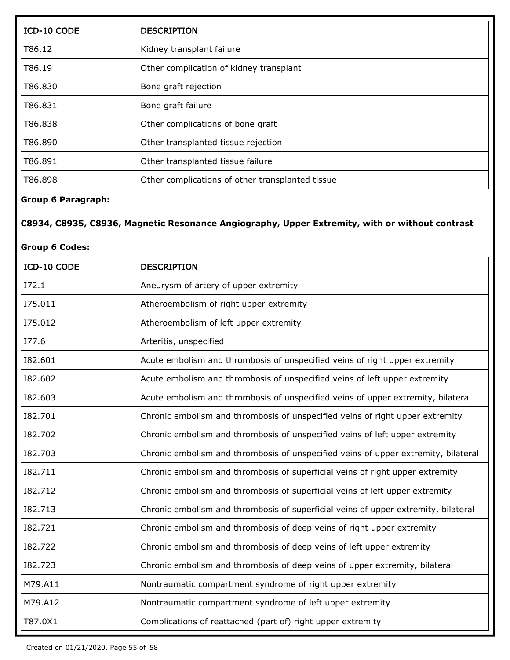| ICD-10 CODE | <b>DESCRIPTION</b>                               |
|-------------|--------------------------------------------------|
| T86.12      | Kidney transplant failure                        |
| T86.19      | Other complication of kidney transplant          |
| T86.830     | Bone graft rejection                             |
| T86.831     | Bone graft failure                               |
| T86.838     | Other complications of bone graft                |
| T86.890     | Other transplanted tissue rejection              |
| T86.891     | Other transplanted tissue failure                |
| T86.898     | Other complications of other transplanted tissue |

### **Group 6 Paragraph:**

## **C8934, C8935, C8936, Magnetic Resonance Angiography, Upper Extremity, with or without contrast**

#### **Group 6 Codes:**

| ICD-10 CODE | <b>DESCRIPTION</b>                                                                 |
|-------------|------------------------------------------------------------------------------------|
| I72.1       | Aneurysm of artery of upper extremity                                              |
| I75.011     | Atheroembolism of right upper extremity                                            |
| I75.012     | Atheroembolism of left upper extremity                                             |
| I77.6       | Arteritis, unspecified                                                             |
| 182.601     | Acute embolism and thrombosis of unspecified veins of right upper extremity        |
| 182.602     | Acute embolism and thrombosis of unspecified veins of left upper extremity         |
| 182.603     | Acute embolism and thrombosis of unspecified veins of upper extremity, bilateral   |
| 182.701     | Chronic embolism and thrombosis of unspecified veins of right upper extremity      |
| 182.702     | Chronic embolism and thrombosis of unspecified veins of left upper extremity       |
| 182.703     | Chronic embolism and thrombosis of unspecified veins of upper extremity, bilateral |
| 182.711     | Chronic embolism and thrombosis of superficial veins of right upper extremity      |
| 182.712     | Chronic embolism and thrombosis of superficial veins of left upper extremity       |
| 182.713     | Chronic embolism and thrombosis of superficial veins of upper extremity, bilateral |
| 182.721     | Chronic embolism and thrombosis of deep veins of right upper extremity             |
| 182.722     | Chronic embolism and thrombosis of deep veins of left upper extremity              |
| 182.723     | Chronic embolism and thrombosis of deep veins of upper extremity, bilateral        |
| M79.A11     | Nontraumatic compartment syndrome of right upper extremity                         |
| M79.A12     | Nontraumatic compartment syndrome of left upper extremity                          |
| T87.0X1     | Complications of reattached (part of) right upper extremity                        |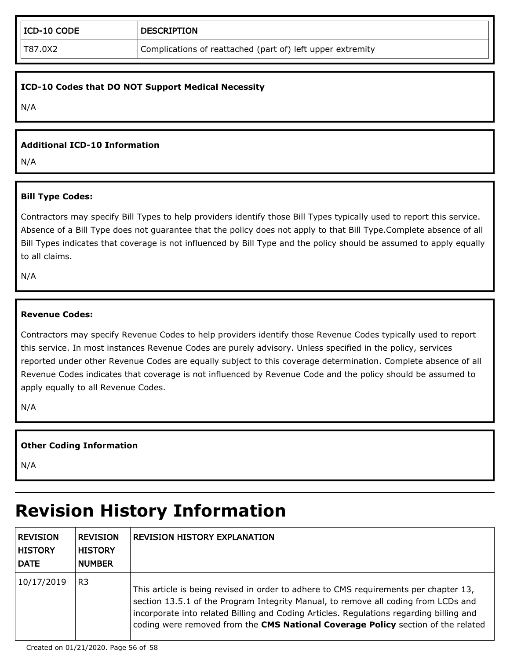#### **ICD-10 Codes that DO NOT Support Medical Necessity**

N/A

#### **Additional ICD-10 Information**

N/A

#### **Bill Type Codes:**

Contractors may specify Bill Types to help providers identify those Bill Types typically used to report this service. Absence of a Bill Type does not guarantee that the policy does not apply to that Bill Type.Complete absence of all Bill Types indicates that coverage is not influenced by Bill Type and the policy should be assumed to apply equally to all claims.

N/A

#### **Revenue Codes:**

Contractors may specify Revenue Codes to help providers identify those Revenue Codes typically used to report this service. In most instances Revenue Codes are purely advisory. Unless specified in the policy, services reported under other Revenue Codes are equally subject to this coverage determination. Complete absence of all Revenue Codes indicates that coverage is not influenced by Revenue Code and the policy should be assumed to apply equally to all Revenue Codes.

N/A

#### **Other Coding Information**

N/A

## **Revision History Information**

| <b>REVISION</b><br><b>HISTORY</b><br><b>DATE</b> | <b>REVISION</b><br><b>HISTORY</b><br><b>NUMBER</b> | <b>REVISION HISTORY EXPLANATION</b>                                                                                                                                                                                                                                                                                                                       |
|--------------------------------------------------|----------------------------------------------------|-----------------------------------------------------------------------------------------------------------------------------------------------------------------------------------------------------------------------------------------------------------------------------------------------------------------------------------------------------------|
| 10/17/2019                                       | R <sub>3</sub>                                     | This article is being revised in order to adhere to CMS requirements per chapter 13,<br>section 13.5.1 of the Program Integrity Manual, to remove all coding from LCDs and<br>incorporate into related Billing and Coding Articles. Regulations regarding billing and<br>coding were removed from the CMS National Coverage Policy section of the related |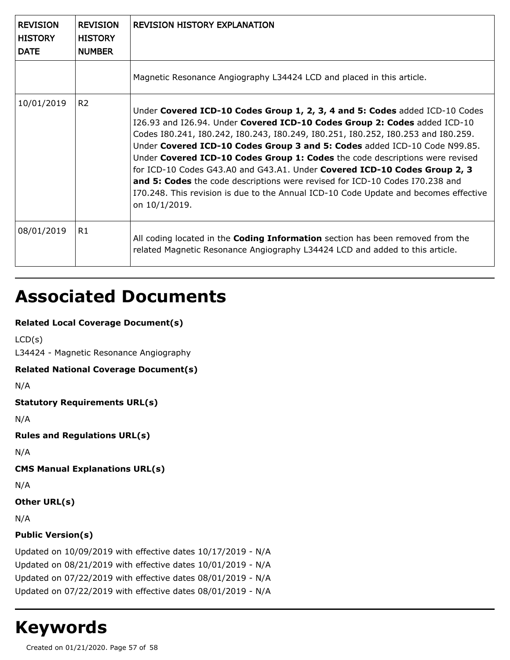| <b>REVISION</b><br><b>HISTORY</b><br><b>DATE</b> | <b>REVISION</b><br><b>HISTORY</b><br><b>NUMBER</b> | <b>REVISION HISTORY EXPLANATION</b>                                                                                                                                                                                                                                                                                                                                                                                                                                                                                                                                                                                                                                             |
|--------------------------------------------------|----------------------------------------------------|---------------------------------------------------------------------------------------------------------------------------------------------------------------------------------------------------------------------------------------------------------------------------------------------------------------------------------------------------------------------------------------------------------------------------------------------------------------------------------------------------------------------------------------------------------------------------------------------------------------------------------------------------------------------------------|
|                                                  |                                                    | Magnetic Resonance Angiography L34424 LCD and placed in this article.                                                                                                                                                                                                                                                                                                                                                                                                                                                                                                                                                                                                           |
| 10/01/2019                                       | R <sub>2</sub>                                     | Under Covered ICD-10 Codes Group 1, 2, 3, 4 and 5: Codes added ICD-10 Codes<br>I26.93 and I26.94. Under Covered ICD-10 Codes Group 2: Codes added ICD-10<br>Codes 180.241, 180.242, 180.243, 180.249, 180.251, 180.252, 180.253 and 180.259.<br>Under Covered ICD-10 Codes Group 3 and 5: Codes added ICD-10 Code N99.85.<br>Under Covered ICD-10 Codes Group 1: Codes the code descriptions were revised<br>for ICD-10 Codes G43.A0 and G43.A1. Under Covered ICD-10 Codes Group 2, 3<br>and 5: Codes the code descriptions were revised for ICD-10 Codes I70.238 and<br>I70.248. This revision is due to the Annual ICD-10 Code Update and becomes effective<br>on 10/1/2019. |
| 08/01/2019                                       | R1                                                 | All coding located in the <b>Coding Information</b> section has been removed from the<br>related Magnetic Resonance Angiography L34424 LCD and added to this article.                                                                                                                                                                                                                                                                                                                                                                                                                                                                                                           |

## **Associated Documents**

### **Related Local Coverage Document(s)**

```
LCD(s)
```
L34424 - Magnetic Resonance Angiography

#### **Related National Coverage Document(s)**

N/A

```
Statutory Requirements URL(s)
```
N/A

```
Rules and Regulations URL(s)
```
N/A

**CMS Manual Explanations URL(s)**

N/A

### **Other URL(s)**

N/A

## **Public Version(s)**

Updated on 10/09/2019 with effective dates 10/17/2019 - N/A Updated on 08/21/2019 with effective dates 10/01/2019 - N/A Updated on 07/22/2019 with effective dates 08/01/2019 - N/A Updated on 07/22/2019 with effective dates 08/01/2019 - N/A

## **Keywords**

Created on 01/21/2020. Page 57 of 58